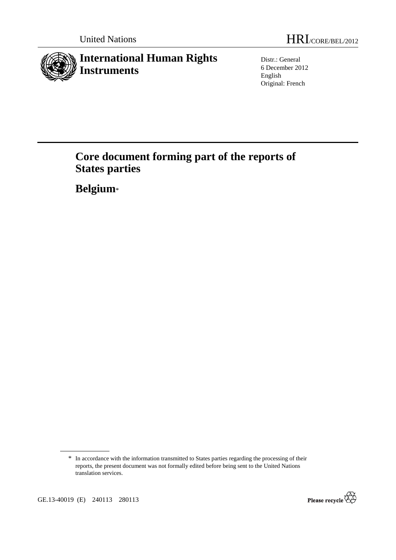

Distr.: General 6 December 2012 English Original: French

# **Core document forming part of the reports of States parties**

 **Belgium**\*



<sup>\*</sup> In accordance with the information transmitted to States parties regarding the processing of their reports, the present document was not formally edited before being sent to the United Nations translation services.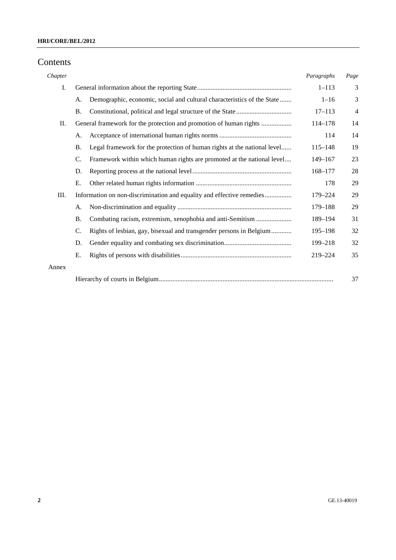## Contents

| Chapter |           |                                                                          | Paragraphs  | Page |
|---------|-----------|--------------------------------------------------------------------------|-------------|------|
| I.      |           |                                                                          | $1 - 113$   | 3    |
|         | А.        | Demographic, economic, social and cultural characteristics of the State  | $1 - 16$    | 3    |
|         | <b>B.</b> |                                                                          | $17 - 113$  | 4    |
| П.      |           | General framework for the protection and promotion of human rights       | 114-178     | 14   |
|         | А.        |                                                                          | 114         | 14   |
|         | <b>B.</b> | Legal framework for the protection of human rights at the national level | $115 - 148$ | 19   |
|         | C.        | Framework within which human rights are promoted at the national level   | $149 - 167$ | 23   |
|         | D.        |                                                                          | 168-177     | 28   |
|         | Ε.        |                                                                          | 178         | 29   |
| Ш.      |           | Information on non-discrimination and equality and effective remedies    | 179–224     | 29   |
|         | A.        |                                                                          | 179-188     | 29   |
|         | <b>B.</b> | Combating racism, extremism, xenophobia and anti-Semitism                | 189-194     | 31   |
|         | C.        | Rights of lesbian, gay, bisexual and transgender persons in Belgium      | 195-198     | 32   |
|         | D.        |                                                                          | 199-218     | 32   |
|         | E.        |                                                                          | $219 - 224$ | 35   |
| Annex   |           |                                                                          |             |      |
|         |           |                                                                          |             | 37   |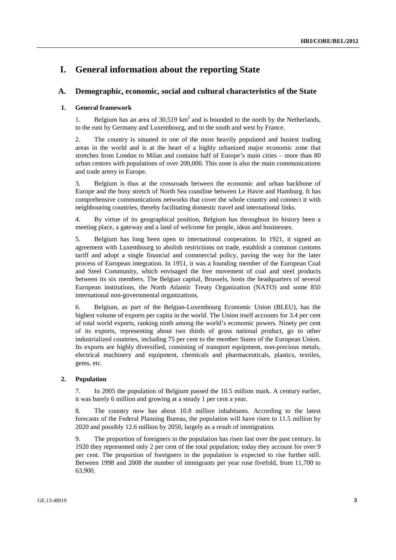## **I. General information about the reporting State**

## **A. Demographic, economic, social and cultural characteristics of the State**

## **1. General framework**

1. Belgium has an area of  $30,519 \text{ km}^2$  and is bounded to the north by the Netherlands, to the east by Germany and Luxembourg, and to the south and west by France.

2. The country is situated in one of the most heavily populated and busiest trading areas in the world and is at the heart of a highly urbanized major economic zone that stretches from London to Milan and contains half of Europe's main cities – more than 80 urban centres with populations of over 200,000. This zone is also the main communications and trade artery in Europe.

3. Belgium is thus at the crossroads between the economic and urban backbone of Europe and the busy stretch of North Sea coastline between Le Havre and Hamburg. It has comprehensive communications networks that cover the whole country and connect it with neighbouring countries, thereby facilitating domestic travel and international links.

4. By virtue of its geographical position, Belgium has throughout its history been a meeting place, a gateway and a land of welcome for people, ideas and businesses.

5. Belgium has long been open to international cooperation. In 1921, it signed an agreement with Luxembourg to abolish restrictions on trade, establish a common customs tariff and adopt a single financial and commercial policy, paving the way for the later process of European integration. In 1951, it was a founding member of the European Coal and Steel Community, which envisaged the free movement of coal and steel products between its six members. The Belgian capital, Brussels, hosts the headquarters of several European institutions, the North Atlantic Treaty Organization (NATO) and some 850 international non-governmental organizations.

6. Belgium, as part of the Belgian-Luxembourg Economic Union (BLEU), has the highest volume of exports per capita in the world. The Union itself accounts for 3.4 per cent of total world exports, ranking ninth among the world's economic powers. Ninety per cent of its exports, representing about two thirds of gross national product, go to other industrialized countries, including 75 per cent to the member States of the European Union. Its exports are highly diversified, consisting of transport equipment, non-precious metals, electrical machinery and equipment, chemicals and pharmaceuticals, plastics, textiles, gems, etc.

## **2. Population**

7. In 2005 the population of Belgium passed the 10.5 million mark. A century earlier, it was barely 6 million and growing at a steady 1 per cent a year.

8. The country now has about 10.8 million inhabitants. According to the latest forecasts of the Federal Planning Bureau, the population will have risen to 11.5 million by 2020 and possibly 12.6 million by 2050, largely as a result of immigration.

9. The proportion of foreigners in the population has risen fast over the past century. In 1920 they represented only 2 per cent of the total population; today they account for over 9 per cent. The proportion of foreigners in the population is expected to rise further still. Between 1998 and 2008 the number of immigrants per year rose fivefold, from 11,700 to 63,900.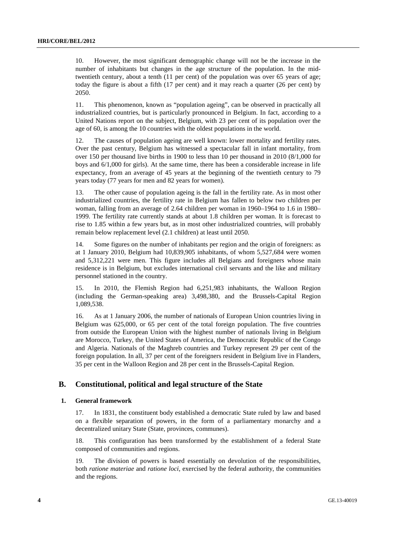10. However, the most significant demographic change will not be the increase in the number of inhabitants but changes in the age structure of the population. In the midtwentieth century, about a tenth (11 per cent) of the population was over 65 years of age; today the figure is about a fifth (17 per cent) and it may reach a quarter (26 per cent) by 2050.

11. This phenomenon, known as "population ageing", can be observed in practically all industrialized countries, but is particularly pronounced in Belgium. In fact, according to a United Nations report on the subject, Belgium, with 23 per cent of its population over the age of 60, is among the 10 countries with the oldest populations in the world.

12. The causes of population ageing are well known: lower mortality and fertility rates. Over the past century, Belgium has witnessed a spectacular fall in infant mortality, from over 150 per thousand live births in 1900 to less than 10 per thousand in 2010 (8/1,000 for boys and 6/1,000 for girls). At the same time, there has been a considerable increase in life expectancy, from an average of 45 years at the beginning of the twentieth century to 79 years today (77 years for men and 82 years for women).

13. The other cause of population ageing is the fall in the fertility rate. As in most other industrialized countries, the fertility rate in Belgium has fallen to below two children per woman, falling from an average of 2.64 children per woman in 1960–1964 to 1.6 in 1980– 1999. The fertility rate currently stands at about 1.8 children per woman. It is forecast to rise to 1.85 within a few years but, as in most other industrialized countries, will probably remain below replacement level (2.1 children) at least until 2050.

14. Some figures on the number of inhabitants per region and the origin of foreigners: as at 1 January 2010, Belgium had 10,839,905 inhabitants, of whom 5,527,684 were women and 5,312,221 were men. This figure includes all Belgians and foreigners whose main residence is in Belgium, but excludes international civil servants and the like and military personnel stationed in the country.

15. In 2010, the Flemish Region had 6,251,983 inhabitants, the Walloon Region (including the German-speaking area) 3,498,380, and the Brussels-Capital Region 1,089,538.

16. As at 1 January 2006, the number of nationals of European Union countries living in Belgium was 625,000, or 65 per cent of the total foreign population. The five countries from outside the European Union with the highest number of nationals living in Belgium are Morocco, Turkey, the United States of America, the Democratic Republic of the Congo and Algeria. Nationals of the Maghreb countries and Turkey represent 29 per cent of the foreign population. In all, 37 per cent of the foreigners resident in Belgium live in Flanders, 35 per cent in the Walloon Region and 28 per cent in the Brussels-Capital Region.

## **B. Constitutional, political and legal structure of the State**

### **1. General framework**

17. In 1831, the constituent body established a democratic State ruled by law and based on a flexible separation of powers, in the form of a parliamentary monarchy and a decentralized unitary State (State, provinces, communes).

18. This configuration has been transformed by the establishment of a federal State composed of communities and regions.

19. The division of powers is based essentially on devolution of the responsibilities, both *ratione materiae* and *ratione loci*, exercised by the federal authority, the communities and the regions.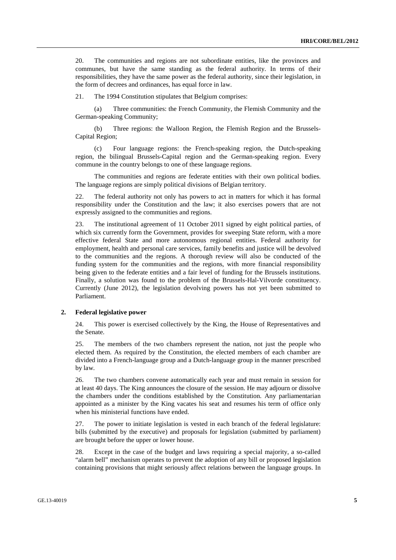20. The communities and regions are not subordinate entities, like the provinces and communes, but have the same standing as the federal authority. In terms of their responsibilities, they have the same power as the federal authority, since their legislation, in the form of decrees and ordinances, has equal force in law.

21. The 1994 Constitution stipulates that Belgium comprises:

 (a) Three communities: the French Community, the Flemish Community and the German-speaking Community;

 (b) Three regions: the Walloon Region, the Flemish Region and the Brussels-Capital Region;

 (c) Four language regions: the French-speaking region, the Dutch-speaking region, the bilingual Brussels-Capital region and the German-speaking region. Every commune in the country belongs to one of these language regions.

 The communities and regions are federate entities with their own political bodies. The language regions are simply political divisions of Belgian territory.

22. The federal authority not only has powers to act in matters for which it has formal responsibility under the Constitution and the law; it also exercises powers that are not expressly assigned to the communities and regions.

23. The institutional agreement of 11 October 2011 signed by eight political parties, of which six currently form the Government, provides for sweeping State reform, with a more effective federal State and more autonomous regional entities. Federal authority for employment, health and personal care services, family benefits and justice will be devolved to the communities and the regions. A thorough review will also be conducted of the funding system for the communities and the regions, with more financial responsibility being given to the federate entities and a fair level of funding for the Brussels institutions. Finally, a solution was found to the problem of the Brussels-Hal-Vilvorde constituency. Currently (June 2012), the legislation devolving powers has not yet been submitted to Parliament.

### **2. Federal legislative power**

24. This power is exercised collectively by the King, the House of Representatives and the Senate.

25. The members of the two chambers represent the nation, not just the people who elected them. As required by the Constitution, the elected members of each chamber are divided into a French-language group and a Dutch-language group in the manner prescribed by law.

26. The two chambers convene automatically each year and must remain in session for at least 40 days. The King announces the closure of the session. He may adjourn or dissolve the chambers under the conditions established by the Constitution. Any parliamentarian appointed as a minister by the King vacates his seat and resumes his term of office only when his ministerial functions have ended.

27. The power to initiate legislation is vested in each branch of the federal legislature: bills (submitted by the executive) and proposals for legislation (submitted by parliament) are brought before the upper or lower house.

28. Except in the case of the budget and laws requiring a special majority, a so-called "alarm bell" mechanism operates to prevent the adoption of any bill or proposed legislation containing provisions that might seriously affect relations between the language groups. In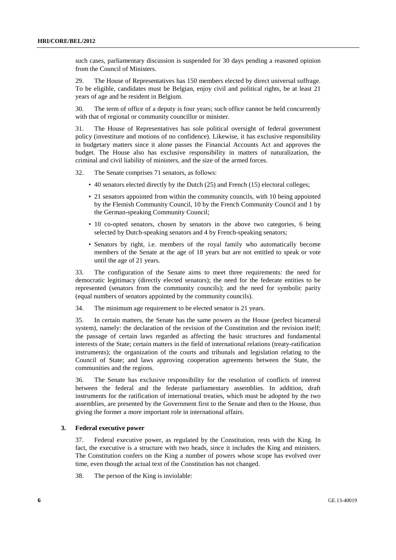such cases, parliamentary discussion is suspended for 30 days pending a reasoned opinion from the Council of Ministers.

29. The House of Representatives has 150 members elected by direct universal suffrage. To be eligible, candidates must be Belgian, enjoy civil and political rights, be at least 21 years of age and be resident in Belgium.

30. The term of office of a deputy is four years; such office cannot be held concurrently with that of regional or community councillor or minister.

31. The House of Representatives has sole political oversight of federal government policy (investiture and motions of no confidence). Likewise, it has exclusive responsibility in budgetary matters since it alone passes the Financial Accounts Act and approves the budget. The House also has exclusive responsibility in matters of naturalization, the criminal and civil liability of ministers, and the size of the armed forces.

32. The Senate comprises 71 senators, as follows:

- 40 senators elected directly by the Dutch (25) and French (15) electoral colleges;
- 21 senators appointed from within the community councils, with 10 being appointed by the Flemish Community Council, 10 by the French Community Council and 1 by the German-speaking Community Council;
- 10 co-opted senators, chosen by senators in the above two categories, 6 being selected by Dutch-speaking senators and 4 by French-speaking senators;
- Senators by right, i.e. members of the royal family who automatically become members of the Senate at the age of 18 years but are not entitled to speak or vote until the age of 21 years.

33. The configuration of the Senate aims to meet three requirements: the need for democratic legitimacy (directly elected senators); the need for the federate entities to be represented (senators from the community councils); and the need for symbolic parity (equal numbers of senators appointed by the community councils).

34. The minimum age requirement to be elected senator is 21 years.

35. In certain matters, the Senate has the same powers as the House (perfect bicameral system), namely: the declaration of the revision of the Constitution and the revision itself; the passage of certain laws regarded as affecting the basic structures and fundamental interests of the State; certain matters in the field of international relations (treaty-ratification instruments); the organization of the courts and tribunals and legislation relating to the Council of State; and laws approving cooperation agreements between the State, the communities and the regions.

36. The Senate has exclusive responsibility for the resolution of conflicts of interest between the federal and the federate parliamentary assemblies. In addition, draft instruments for the ratification of international treaties, which must be adopted by the two assemblies, are presented by the Government first to the Senate and then to the House, thus giving the former a more important role in international affairs.

### **3. Federal executive power**

37. Federal executive power, as regulated by the Constitution, rests with the King. In fact, the executive is a structure with two heads, since it includes the King and ministers. The Constitution confers on the King a number of powers whose scope has evolved over time, even though the actual text of the Constitution has not changed.

38. The person of the King is inviolable: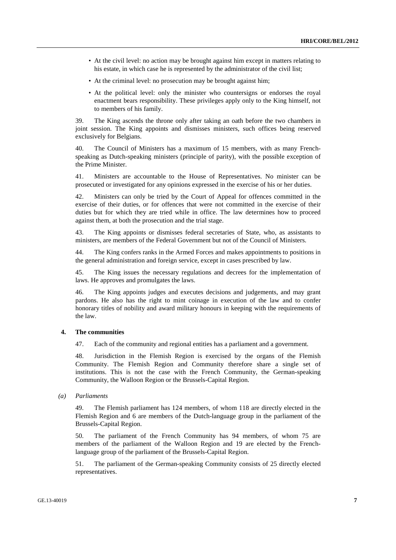- At the civil level: no action may be brought against him except in matters relating to his estate, in which case he is represented by the administrator of the civil list;
- At the criminal level: no prosecution may be brought against him;
- At the political level: only the minister who countersigns or endorses the royal enactment bears responsibility. These privileges apply only to the King himself, not to members of his family.

39. The King ascends the throne only after taking an oath before the two chambers in joint session. The King appoints and dismisses ministers, such offices being reserved exclusively for Belgians.

40. The Council of Ministers has a maximum of 15 members, with as many Frenchspeaking as Dutch-speaking ministers (principle of parity), with the possible exception of the Prime Minister.

41. Ministers are accountable to the House of Representatives. No minister can be prosecuted or investigated for any opinions expressed in the exercise of his or her duties.

42. Ministers can only be tried by the Court of Appeal for offences committed in the exercise of their duties, or for offences that were not committed in the exercise of their duties but for which they are tried while in office. The law determines how to proceed against them, at both the prosecution and the trial stage.

43. The King appoints or dismisses federal secretaries of State, who, as assistants to ministers, are members of the Federal Government but not of the Council of Ministers.

44. The King confers ranks in the Armed Forces and makes appointments to positions in the general administration and foreign service, except in cases prescribed by law.

45. The King issues the necessary regulations and decrees for the implementation of laws. He approves and promulgates the laws.

46. The King appoints judges and executes decisions and judgements, and may grant pardons. He also has the right to mint coinage in execution of the law and to confer honorary titles of nobility and award military honours in keeping with the requirements of the law.

#### **4. The communities**

47. Each of the community and regional entities has a parliament and a government.

48. Jurisdiction in the Flemish Region is exercised by the organs of the Flemish Community. The Flemish Region and Community therefore share a single set of institutions. This is not the case with the French Community, the German-speaking Community, the Walloon Region or the Brussels-Capital Region.

 *(a) Parliaments* 

49. The Flemish parliament has 124 members, of whom 118 are directly elected in the Flemish Region and 6 are members of the Dutch-language group in the parliament of the Brussels-Capital Region.

50. The parliament of the French Community has 94 members, of whom 75 are members of the parliament of the Walloon Region and 19 are elected by the Frenchlanguage group of the parliament of the Brussels-Capital Region.

51. The parliament of the German-speaking Community consists of 25 directly elected representatives.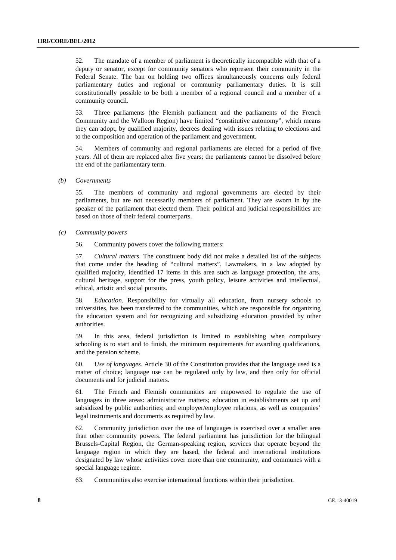52. The mandate of a member of parliament is theoretically incompatible with that of a deputy or senator, except for community senators who represent their community in the Federal Senate. The ban on holding two offices simultaneously concerns only federal parliamentary duties and regional or community parliamentary duties. It is still constitutionally possible to be both a member of a regional council and a member of a community council.

53. Three parliaments (the Flemish parliament and the parliaments of the French Community and the Walloon Region) have limited "constitutive autonomy", which means they can adopt, by qualified majority, decrees dealing with issues relating to elections and to the composition and operation of the parliament and government.

54. Members of community and regional parliaments are elected for a period of five years. All of them are replaced after five years; the parliaments cannot be dissolved before the end of the parliamentary term.

 *(b) Governments* 

55. The members of community and regional governments are elected by their parliaments, but are not necessarily members of parliament. They are sworn in by the speaker of the parliament that elected them. Their political and judicial responsibilities are based on those of their federal counterparts.

 *(c) Community powers* 

56. Community powers cover the following matters:

57. *Cultural matters*. The constituent body did not make a detailed list of the subjects that come under the heading of "cultural matters". Lawmakers, in a law adopted by qualified majority, identified 17 items in this area such as language protection, the arts, cultural heritage, support for the press, youth policy, leisure activities and intellectual, ethical, artistic and social pursuits.

58. *Education*. Responsibility for virtually all education, from nursery schools to universities, has been transferred to the communities, which are responsible for organizing the education system and for recognizing and subsidizing education provided by other authorities.

59. In this area, federal jurisdiction is limited to establishing when compulsory schooling is to start and to finish, the minimum requirements for awarding qualifications, and the pension scheme.

60. *Use of languages*. Article 30 of the Constitution provides that the language used is a matter of choice; language use can be regulated only by law, and then only for official documents and for judicial matters.

61. The French and Flemish communities are empowered to regulate the use of languages in three areas: administrative matters; education in establishments set up and subsidized by public authorities; and employer/employee relations, as well as companies' legal instruments and documents as required by law.

62. Community jurisdiction over the use of languages is exercised over a smaller area than other community powers. The federal parliament has jurisdiction for the bilingual Brussels-Capital Region, the German-speaking region, services that operate beyond the language region in which they are based, the federal and international institutions designated by law whose activities cover more than one community, and communes with a special language regime.

63. Communities also exercise international functions within their jurisdiction.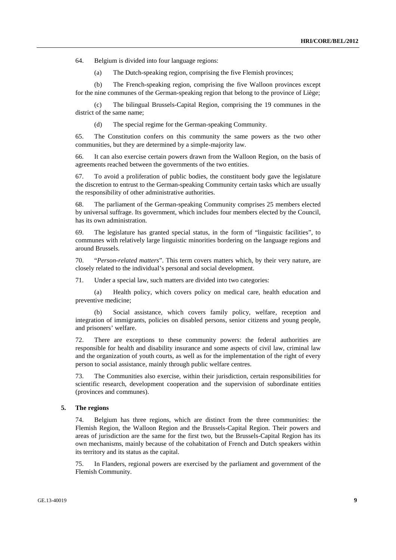64. Belgium is divided into four language regions:

(a) The Dutch-speaking region, comprising the five Flemish provinces;

 (b) The French-speaking region, comprising the five Walloon provinces except for the nine communes of the German-speaking region that belong to the province of Liège;

 (c) The bilingual Brussels-Capital Region, comprising the 19 communes in the district of the same name;

(d) The special regime for the German-speaking Community.

65. The Constitution confers on this community the same powers as the two other communities, but they are determined by a simple-majority law.

66. It can also exercise certain powers drawn from the Walloon Region, on the basis of agreements reached between the governments of the two entities.

67. To avoid a proliferation of public bodies, the constituent body gave the legislature the discretion to entrust to the German-speaking Community certain tasks which are usually the responsibility of other administrative authorities.

68. The parliament of the German-speaking Community comprises 25 members elected by universal suffrage. Its government, which includes four members elected by the Council, has its own administration.

69. The legislature has granted special status, in the form of "linguistic facilities", to communes with relatively large linguistic minorities bordering on the language regions and around Brussels.

70. "*Person-related matters*". This term covers matters which, by their very nature, are closely related to the individual's personal and social development.

71. Under a special law, such matters are divided into two categories:

 (a) Health policy, which covers policy on medical care, health education and preventive medicine;

 (b) Social assistance, which covers family policy, welfare, reception and integration of immigrants, policies on disabled persons, senior citizens and young people, and prisoners' welfare.

72. There are exceptions to these community powers: the federal authorities are responsible for health and disability insurance and some aspects of civil law, criminal law and the organization of youth courts, as well as for the implementation of the right of every person to social assistance, mainly through public welfare centres.

73. The Communities also exercise, within their jurisdiction, certain responsibilities for scientific research, development cooperation and the supervision of subordinate entities (provinces and communes).

#### **5. The regions**

74. Belgium has three regions, which are distinct from the three communities: the Flemish Region, the Walloon Region and the Brussels-Capital Region. Their powers and areas of jurisdiction are the same for the first two, but the Brussels-Capital Region has its own mechanisms, mainly because of the cohabitation of French and Dutch speakers within its territory and its status as the capital.

75. In Flanders, regional powers are exercised by the parliament and government of the Flemish Community.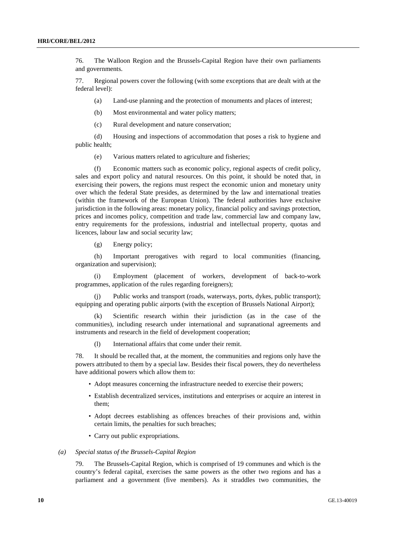76. The Walloon Region and the Brussels-Capital Region have their own parliaments and governments.

77. Regional powers cover the following (with some exceptions that are dealt with at the federal level):

(a) Land-use planning and the protection of monuments and places of interest;

(b) Most environmental and water policy matters;

(c) Rural development and nature conservation;

 (d) Housing and inspections of accommodation that poses a risk to hygiene and public health;

(e) Various matters related to agriculture and fisheries;

 (f) Economic matters such as economic policy, regional aspects of credit policy, sales and export policy and natural resources. On this point, it should be noted that, in exercising their powers, the regions must respect the economic union and monetary unity over which the federal State presides, as determined by the law and international treaties (within the framework of the European Union). The federal authorities have exclusive jurisdiction in the following areas: monetary policy, financial policy and savings protection, prices and incomes policy, competition and trade law, commercial law and company law, entry requirements for the professions, industrial and intellectual property, quotas and licences, labour law and social security law;

(g) Energy policy;

 (h) Important prerogatives with regard to local communities (financing, organization and supervision);

 (i) Employment (placement of workers, development of back-to-work programmes, application of the rules regarding foreigners);

 (j) Public works and transport (roads, waterways, ports, dykes, public transport); equipping and operating public airports (with the exception of Brussels National Airport);

 (k) Scientific research within their jurisdiction (as in the case of the communities), including research under international and supranational agreements and instruments and research in the field of development cooperation;

(l) International affairs that come under their remit.

78. It should be recalled that, at the moment, the communities and regions only have the powers attributed to them by a special law. Besides their fiscal powers, they do nevertheless have additional powers which allow them to:

- Adopt measures concerning the infrastructure needed to exercise their powers;
- Establish decentralized services, institutions and enterprises or acquire an interest in them;
- Adopt decrees establishing as offences breaches of their provisions and, within certain limits, the penalties for such breaches;
- Carry out public expropriations.

#### *(a) Special status of the Brussels-Capital Region*

79. The Brussels-Capital Region, which is comprised of 19 communes and which is the country's federal capital, exercises the same powers as the other two regions and has a parliament and a government (five members). As it straddles two communities, the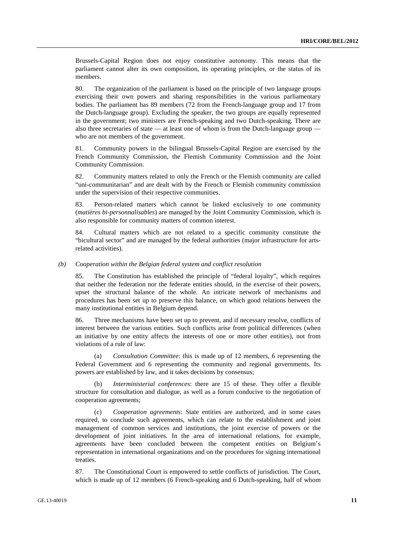Brussels-Capital Region does not enjoy constitutive autonomy. This means that the parliament cannot alter its own composition, its operating principles, or the status of its members.

80. The organization of the parliament is based on the principle of two language groups exercising their own powers and sharing responsibilities in the various parliamentary bodies. The parliament has 89 members (72 from the French-language group and 17 from the Dutch-language group). Excluding the speaker, the two groups are equally represented in the government; two ministers are French-speaking and two Dutch-speaking. There are also three secretaries of state — at least one of whom is from the Dutch-language group who are not members of the government.

81. Community powers in the bilingual Brussels-Capital Region are exercised by the French Community Commission, the Flemish Community Commission and the Joint Community Commission.

82. Community matters related to only the French or the Flemish community are called "uni-communitarian" and are dealt with by the French or Flemish community commission under the supervision of their respective communities.

83. Person-related matters which cannot be linked exclusively to one community (*matières bi-personnalisables*) are managed by the Joint Community Commission, which is also responsible for community matters of common interest.

84. Cultural matters which are not related to a specific community constitute the "bicultural sector" and are managed by the federal authorities (major infrastructure for artsrelated activities).

#### *(b) Cooperation within the Belgian federal system and conflict resolution*

85. The Constitution has established the principle of "federal loyalty", which requires that neither the federation nor the federate entities should, in the exercise of their powers, upset the structural balance of the whole. An intricate network of mechanisms and procedures has been set up to preserve this balance, on which good relations between the many institutional entities in Belgium depend.

86. Three mechanisms have been set up to prevent, and if necessary resolve, conflicts of interest between the various entities. Such conflicts arise from political differences (when an initiative by one entity affects the interests of one or more other entities), not from violations of a rule of law:

 (a) *Consultation Committee*: this is made up of 12 members, 6 representing the Federal Government and 6 representing the community and regional governments. Its powers are established by law, and it takes decisions by consensus;

*Interministerial conferences*: there are 15 of these. They offer a flexible structure for consultation and dialogue, as well as a forum conducive to the negotiation of cooperation agreements;

 (c) *Cooperation agreements*: State entities are authorized, and in some cases required, to conclude such agreements, which can relate to the establishment and joint management of common services and institutions, the joint exercise of powers or the development of joint initiatives. In the area of international relations, for example, agreements have been concluded between the competent entities on Belgium's representation in international organizations and on the procedures for signing international treaties.

87. The Constitutional Court is empowered to settle conflicts of jurisdiction. The Court, which is made up of 12 members (6 French-speaking and 6 Dutch-speaking, half of whom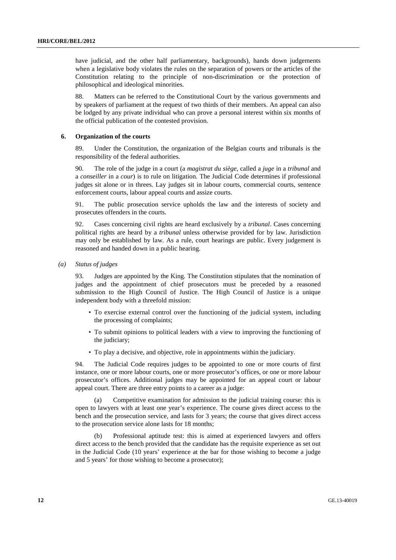have judicial, and the other half parliamentary, backgrounds), hands down judgements when a legislative body violates the rules on the separation of powers or the articles of the Constitution relating to the principle of non-discrimination or the protection of philosophical and ideological minorities.

88. Matters can be referred to the Constitutional Court by the various governments and by speakers of parliament at the request of two thirds of their members. An appeal can also be lodged by any private individual who can prove a personal interest within six months of the official publication of the contested provision.

#### **6. Organization of the courts**

89. Under the Constitution, the organization of the Belgian courts and tribunals is the responsibility of the federal authorities.

90. The role of the judge in a court (a *magistrat du siège*, called a *juge* in a *tribunal* and a *conseiller* in a *cour*) is to rule on litigation. The Judicial Code determines if professional judges sit alone or in threes. Lay judges sit in labour courts, commercial courts, sentence enforcement courts, labour appeal courts and assize courts.

91. The public prosecution service upholds the law and the interests of society and prosecutes offenders in the courts.

92. Cases concerning civil rights are heard exclusively by a *tribunal*. Cases concerning political rights are heard by a *tribunal* unless otherwise provided for by law. Jurisdiction may only be established by law. As a rule, court hearings are public. Every judgement is reasoned and handed down in a public hearing.

 *(a) Status of judges* 

93. Judges are appointed by the King. The Constitution stipulates that the nomination of judges and the appointment of chief prosecutors must be preceded by a reasoned submission to the High Council of Justice. The High Council of Justice is a unique independent body with a threefold mission:

- To exercise external control over the functioning of the judicial system, including the processing of complaints;
- To submit opinions to political leaders with a view to improving the functioning of the judiciary;
- To play a decisive, and objective, role in appointments within the judiciary.

94. The Judicial Code requires judges to be appointed to one or more courts of first instance, one or more labour courts, one or more prosecutor's offices, or one or more labour prosecutor's offices. Additional judges may be appointed for an appeal court or labour appeal court. There are three entry points to a career as a judge:

 (a) Competitive examination for admission to the judicial training course: this is open to lawyers with at least one year's experience. The course gives direct access to the bench and the prosecution service, and lasts for 3 years; the course that gives direct access to the prosecution service alone lasts for 18 months;

 (b) Professional aptitude test: this is aimed at experienced lawyers and offers direct access to the bench provided that the candidate has the requisite experience as set out in the Judicial Code (10 years' experience at the bar for those wishing to become a judge and 5 years' for those wishing to become a prosecutor);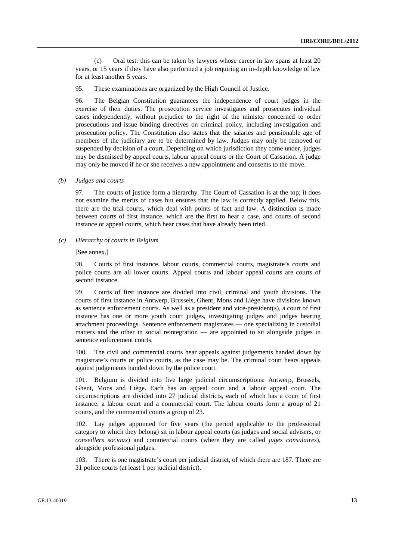(c) Oral test: this can be taken by lawyers whose career in law spans at least 20 years, or 15 years if they have also performed a job requiring an in-depth knowledge of law for at least another 5 years.

95. These examinations are organized by the High Council of Justice.

96. The Belgian Constitution guarantees the independence of court judges in the exercise of their duties. The prosecution service investigates and prosecutes individual cases independently, without prejudice to the right of the minister concerned to order prosecutions and issue binding directives on criminal policy, including investigation and prosecution policy. The Constitution also states that the salaries and pensionable age of members of the judiciary are to be determined by law. Judges may only be removed or suspended by decision of a court. Depending on which jurisdiction they come under, judges may be dismissed by appeal courts, labour appeal courts or the Court of Cassation. A judge may only be moved if he or she receives a new appointment and consents to the move.

 *(b) Judges and courts* 

97. The courts of justice form a hierarchy. The Court of Cassation is at the top; it does not examine the merits of cases but ensures that the law is correctly applied. Below this, there are the trial courts, which deal with points of fact and law. A distinction is made between courts of first instance, which are the first to hear a case, and courts of second instance or appeal courts, which hear cases that have already been tried.

 *(c) Hierarchy of courts in Belgium* 

[See annex.]

98. Courts of first instance, labour courts, commercial courts, magistrate's courts and police courts are all lower courts. Appeal courts and labour appeal courts are courts of second instance.

99. Courts of first instance are divided into civil, criminal and youth divisions. The courts of first instance in Antwerp, Brussels, Ghent, Mons and Liège have divisions known as sentence enforcement courts. As well as a president and vice-president(s), a court of first instance has one or more youth court judges, investigating judges and judges hearing attachment proceedings. Sentence enforcement magistrates — one specializing in custodial matters and the other in social reintegration — are appointed to sit alongside judges in sentence enforcement courts.

100. The civil and commercial courts hear appeals against judgements handed down by magistrate's courts or police courts, as the case may be. The criminal court hears appeals against judgements handed down by the police court.

101. Belgium is divided into five large judicial circumscriptions: Antwerp, Brussels, Ghent, Mons and Liège. Each has an appeal court and a labour appeal court. The circumscriptions are divided into 27 judicial districts, each of which has a court of first instance, a labour court and a commercial court. The labour courts form a group of 21 courts, and the commercial courts a group of 23.

102. Lay judges appointed for five years (the period applicable to the professional category to which they belong) sit in labour appeal courts (as judges and social advisers, or *conseillers sociaux*) and commercial courts (where they are called *juges consulaires*), alongside professional judges.

103. There is one magistrate's court per judicial district, of which there are 187. There are 31 police courts (at least 1 per judicial district).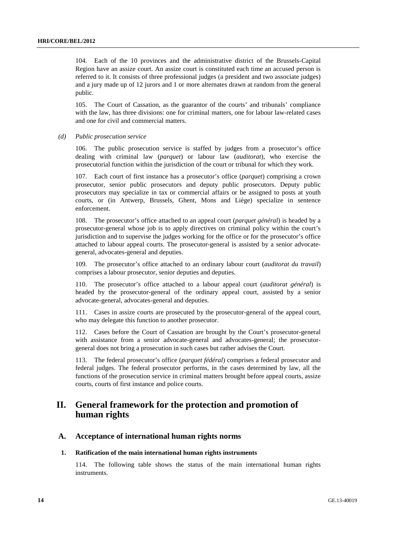104. Each of the 10 provinces and the administrative district of the Brussels-Capital Region have an assize court. An assize court is constituted each time an accused person is referred to it. It consists of three professional judges (a president and two associate judges) and a jury made up of 12 jurors and 1 or more alternates drawn at random from the general public.

105. The Court of Cassation, as the guarantor of the courts' and tribunals' compliance with the law, has three divisions: one for criminal matters, one for labour law-related cases and one for civil and commercial matters.

#### *(d) Public prosecution service*

106. The public prosecution service is staffed by judges from a prosecutor's office dealing with criminal law (*parquet*) or labour law (*auditorat*), who exercise the prosecutorial function within the jurisdiction of the court or tribunal for which they work.

107. Each court of first instance has a prosecutor's office (*parquet*) comprising a crown prosecutor, senior public prosecutors and deputy public prosecutors. Deputy public prosecutors may specialize in tax or commercial affairs or be assigned to posts at youth courts, or (in Antwerp, Brussels, Ghent, Mons and Liège) specialize in sentence enforcement.

108. The prosecutor's office attached to an appeal court (*parquet général*) is headed by a prosecutor-general whose job is to apply directives on criminal policy within the court's jurisdiction and to supervise the judges working for the office or for the prosecutor's office attached to labour appeal courts. The prosecutor-general is assisted by a senior advocategeneral, advocates-general and deputies.

109. The prosecutor's office attached to an ordinary labour court (*auditorat du travail*) comprises a labour prosecutor, senior deputies and deputies.

110. The prosecutor's office attached to a labour appeal court (*auditorat général*) is headed by the prosecutor-general of the ordinary appeal court, assisted by a senior advocate-general, advocates-general and deputies.

111. Cases in assize courts are prosecuted by the prosecutor-general of the appeal court, who may delegate this function to another prosecutor.

112. Cases before the Court of Cassation are brought by the Court's prosecutor-general with assistance from a senior advocate-general and advocates-general; the prosecutorgeneral does not bring a prosecution in such cases but rather advises the Court.

113. The federal prosecutor's office (*parquet fédéral*) comprises a federal prosecutor and federal judges. The federal prosecutor performs, in the cases determined by law, all the functions of the prosecution service in criminal matters brought before appeal courts, assize courts, courts of first instance and police courts.

## **II. General framework for the protection and promotion of human rights**

## **A. Acceptance of international human rights norms**

### **1. Ratification of the main international human rights instruments**

114. The following table shows the status of the main international human rights instruments.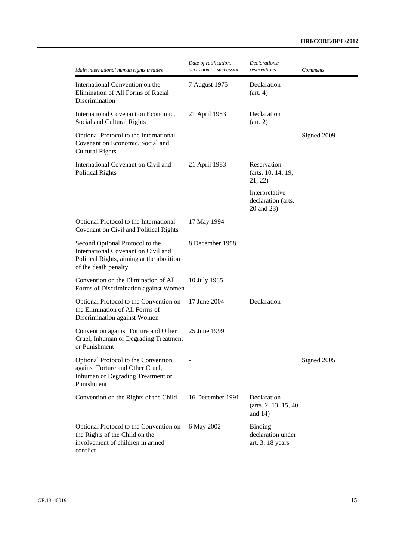## **HRI/CORE/BEL/2012**

| Main international human rights treaties                                                                                                    | Date of ratification,<br>accession or succession | Declarations/<br>reservations                            | <b>Comments</b> |
|---------------------------------------------------------------------------------------------------------------------------------------------|--------------------------------------------------|----------------------------------------------------------|-----------------|
| International Convention on the<br>Elimination of All Forms of Racial<br>Discrimination                                                     | 7 August 1975                                    | Declaration<br>(art. 4)                                  |                 |
| International Covenant on Economic,<br>Social and Cultural Rights                                                                           | 21 April 1983                                    | Declaration<br>(art. 2)                                  |                 |
| Optional Protocol to the International<br>Covenant on Economic, Social and<br><b>Cultural Rights</b>                                        |                                                  |                                                          | Signed 2009     |
| International Covenant on Civil and<br><b>Political Rights</b>                                                                              | 21 April 1983                                    | Reservation<br>(arts. 10, 14, 19,<br>21, 22)             |                 |
|                                                                                                                                             |                                                  | Interpretative<br>declaration (arts.<br>20 and 23)       |                 |
| Optional Protocol to the International<br>Covenant on Civil and Political Rights                                                            | 17 May 1994                                      |                                                          |                 |
| Second Optional Protocol to the<br>International Covenant on Civil and<br>Political Rights, aiming at the abolition<br>of the death penalty | 8 December 1998                                  |                                                          |                 |
| Convention on the Elimination of All<br>Forms of Discrimination against Women                                                               | 10 July 1985                                     |                                                          |                 |
| Optional Protocol to the Convention on<br>the Elimination of All Forms of<br>Discrimination against Women                                   | 17 June 2004                                     | Declaration                                              |                 |
| Convention against Torture and Other<br>Cruel, Inhuman or Degrading Treatment<br>or Punishment                                              | 25 June 1999                                     |                                                          |                 |
| Optional Protocol to the Convention<br>against Torture and Other Cruel,<br>Inhuman or Degrading Treatment or<br>Punishment                  |                                                  |                                                          | Signed 2005     |
| Convention on the Rights of the Child                                                                                                       | 16 December 1991                                 | Declaration<br>(arts. 2, 13, 15, 40)<br>and $14)$        |                 |
| Optional Protocol to the Convention on<br>the Rights of the Child on the<br>involvement of children in armed<br>conflict                    | 6 May 2002                                       | <b>Binding</b><br>declaration under<br>art. $3:18$ years |                 |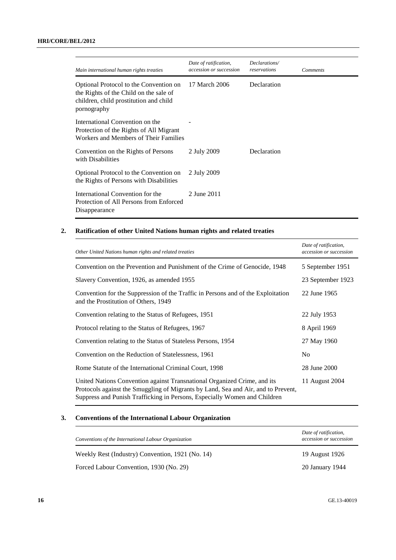| Main international human rights treaties                                                                                                  | Date of ratification,<br>accession or succession | Declarations/<br>reservations | <b>Comments</b> |
|-------------------------------------------------------------------------------------------------------------------------------------------|--------------------------------------------------|-------------------------------|-----------------|
| Optional Protocol to the Convention on<br>the Rights of the Child on the sale of<br>children, child prostitution and child<br>pornography | 17 March 2006                                    | Declaration                   |                 |
| International Convention on the<br>Protection of the Rights of All Migrant<br>Workers and Members of Their Families                       |                                                  |                               |                 |
| Convention on the Rights of Persons<br>with Disabilities                                                                                  | 2 July 2009                                      | Declaration                   |                 |
| Optional Protocol to the Convention on<br>the Rights of Persons with Disabilities                                                         | 2 July 2009                                      |                               |                 |
| International Convention for the<br>Protection of All Persons from Enforced<br>Disappearance                                              | 2 June 2011                                      |                               |                 |

## **2. Ratification of other United Nations human rights and related treaties**

| Other United Nations human rights and related treaties                                                                                                                                                                                     | Date of ratification,<br>accession or succession |
|--------------------------------------------------------------------------------------------------------------------------------------------------------------------------------------------------------------------------------------------|--------------------------------------------------|
| Convention on the Prevention and Punishment of the Crime of Genocide, 1948                                                                                                                                                                 | 5 September 1951                                 |
| Slavery Convention, 1926, as amended 1955                                                                                                                                                                                                  | 23 September 1923                                |
| Convention for the Suppression of the Traffic in Persons and of the Exploitation<br>and the Prostitution of Others, 1949                                                                                                                   | 22 June 1965                                     |
| Convention relating to the Status of Refugees, 1951                                                                                                                                                                                        | 22 July 1953                                     |
| Protocol relating to the Status of Refugees, 1967                                                                                                                                                                                          | 8 April 1969                                     |
| Convention relating to the Status of Stateless Persons, 1954                                                                                                                                                                               | 27 May 1960                                      |
| Convention on the Reduction of Statelessness, 1961                                                                                                                                                                                         | N <sub>0</sub>                                   |
| Rome Statute of the International Criminal Court, 1998                                                                                                                                                                                     | 28 June 2000                                     |
| United Nations Convention against Transnational Organized Crime, and its<br>Protocols against the Smuggling of Migrants by Land, Sea and Air, and to Prevent,<br>Suppress and Punish Trafficking in Persons, Especially Women and Children | 11 August 2004                                   |

## **3. Conventions of the International Labour Organization**

| Conventions of the International Labour Organization | Date of ratification,<br>accession or succession |
|------------------------------------------------------|--------------------------------------------------|
| Weekly Rest (Industry) Convention, 1921 (No. 14)     | 19 August 1926                                   |
| Forced Labour Convention, 1930 (No. 29)              | 20 January 1944                                  |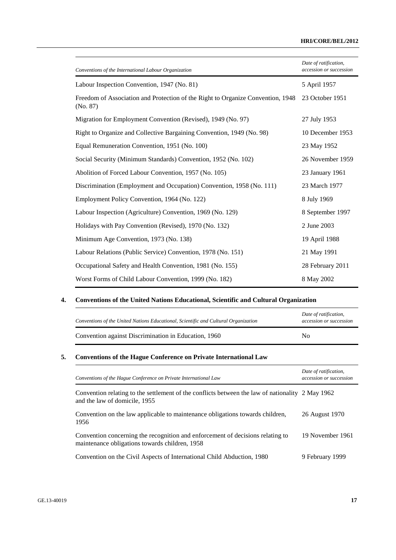## **HRI/CORE/BEL/2012**

| Conventions of the International Labour Organization                                        | Date of ratification,<br>accession or succession |
|---------------------------------------------------------------------------------------------|--------------------------------------------------|
| Labour Inspection Convention, 1947 (No. 81)                                                 | 5 April 1957                                     |
| Freedom of Association and Protection of the Right to Organize Convention, 1948<br>(No. 87) | 23 October 1951                                  |
| Migration for Employment Convention (Revised), 1949 (No. 97)                                | 27 July 1953                                     |
| Right to Organize and Collective Bargaining Convention, 1949 (No. 98)                       | 10 December 1953                                 |
| Equal Remuneration Convention, 1951 (No. 100)                                               | 23 May 1952                                      |
| Social Security (Minimum Standards) Convention, 1952 (No. 102)                              | 26 November 1959                                 |
| Abolition of Forced Labour Convention, 1957 (No. 105)                                       | 23 January 1961                                  |
| Discrimination (Employment and Occupation) Convention, 1958 (No. 111)                       | 23 March 1977                                    |
| Employment Policy Convention, 1964 (No. 122)                                                | 8 July 1969                                      |
| Labour Inspection (Agriculture) Convention, 1969 (No. 129)                                  | 8 September 1997                                 |
| Holidays with Pay Convention (Revised), 1970 (No. 132)                                      | 2 June 2003                                      |
| Minimum Age Convention, 1973 (No. 138)                                                      | 19 April 1988                                    |
| Labour Relations (Public Service) Convention, 1978 (No. 151)                                | 21 May 1991                                      |
| Occupational Safety and Health Convention, 1981 (No. 155)                                   | 28 February 2011                                 |
| Worst Forms of Child Labour Convention, 1999 (No. 182)                                      | 8 May 2002                                       |

## **4. Conventions of the United Nations Educational, Scientific and Cultural Organization**

| Conventions of the United Nations Educational, Scientific and Cultural Organization | Date of ratification,<br>accession or succession |
|-------------------------------------------------------------------------------------|--------------------------------------------------|
| Convention against Discrimination in Education, 1960                                | No                                               |

## **5. Conventions of the Hague Conference on Private International Law**

| Conventions of the Hague Conference on Private International Law                                                                  | Date of ratification,<br>accession or succession |
|-----------------------------------------------------------------------------------------------------------------------------------|--------------------------------------------------|
| Convention relating to the settlement of the conflicts between the law of nationality 2 May 1962<br>and the law of domicile, 1955 |                                                  |
| Convention on the law applicable to maintenance obligations towards children,<br>1956                                             | 26 August 1970                                   |
| Convention concerning the recognition and enforcement of decisions relating to<br>maintenance obligations towards children, 1958  | 19 November 1961                                 |
| Convention on the Civil Aspects of International Child Abduction, 1980                                                            | 9 February 1999                                  |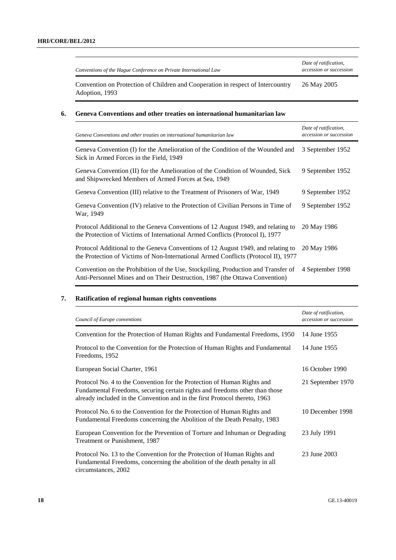| Conventions of the Hague Conference on Private International Law | Date of ratification,<br>accession or succession |
|------------------------------------------------------------------|--------------------------------------------------|
|                                                                  |                                                  |

Convention on Protection of Children and Cooperation in respect of Intercountry Adoption, 1993 26 May 2005

## **6. Geneva Conventions and other treaties on international humanitarian law**

| Geneva Conventions and other treaties on international humanitarian law                                                                                                | Date of ratification,<br>accession or succession |
|------------------------------------------------------------------------------------------------------------------------------------------------------------------------|--------------------------------------------------|
| Geneva Convention (I) for the Amelioration of the Condition of the Wounded and<br>Sick in Armed Forces in the Field, 1949                                              | 3 September 1952                                 |
| Geneva Convention (II) for the Amelioration of the Condition of Wounded, Sick<br>and Shipwrecked Members of Armed Forces at Sea, 1949                                  | 9 September 1952                                 |
| Geneva Convention (III) relative to the Treatment of Prisoners of War, 1949                                                                                            | 9 September 1952                                 |
| Geneva Convention (IV) relative to the Protection of Civilian Persons in Time of<br>War, 1949                                                                          | 9 September 1952                                 |
| Protocol Additional to the Geneva Conventions of 12 August 1949, and relating to<br>the Protection of Victims of International Armed Conflicts (Protocol I), 1977      | 20 May 1986                                      |
| Protocol Additional to the Geneva Conventions of 12 August 1949, and relating to<br>the Protection of Victims of Non-International Armed Conflicts (Protocol II), 1977 | 20 May 1986                                      |
| Convention on the Prohibition of the Use, Stockpiling, Production and Transfer of<br>Anti-Personnel Mines and on Their Destruction, 1987 (the Ottawa Convention)       | 4 September 1998                                 |

## **7. Ratification of regional human rights conventions**

| Council of Europe conventions                                                                                                                                                                                                        | Date of ratification,<br>accession or succession |
|--------------------------------------------------------------------------------------------------------------------------------------------------------------------------------------------------------------------------------------|--------------------------------------------------|
| Convention for the Protection of Human Rights and Fundamental Freedoms, 1950                                                                                                                                                         | 14 June 1955                                     |
| Protocol to the Convention for the Protection of Human Rights and Fundamental<br>Freedoms, 1952                                                                                                                                      | 14 June 1955                                     |
| European Social Charter, 1961                                                                                                                                                                                                        | 16 October 1990                                  |
| Protocol No. 4 to the Convention for the Protection of Human Rights and<br>Fundamental Freedoms, securing certain rights and freedoms other than those<br>already included in the Convention and in the first Protocol thereto, 1963 | 21 September 1970                                |
| Protocol No. 6 to the Convention for the Protection of Human Rights and<br>Fundamental Freedoms concerning the Abolition of the Death Penalty, 1983                                                                                  | 10 December 1998                                 |
| European Convention for the Prevention of Torture and Inhuman or Degrading<br>Treatment or Punishment, 1987                                                                                                                          | 23 July 1991                                     |
| Protocol No. 13 to the Convention for the Protection of Human Rights and<br>Fundamental Freedoms, concerning the abolition of the death penalty in all<br>circumstances, 2002                                                        | 23 June 2003                                     |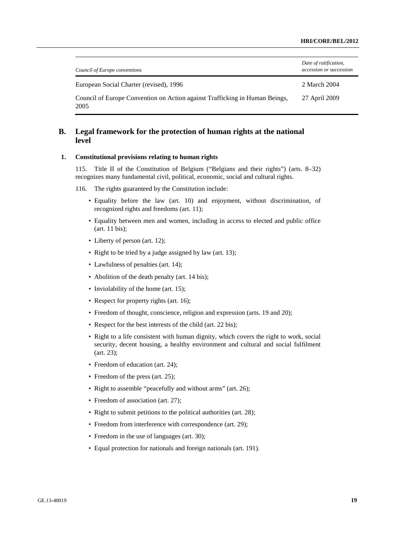| Council of Europe conventions                                                       | Date of ratification,<br>accession or succession |
|-------------------------------------------------------------------------------------|--------------------------------------------------|
| European Social Charter (revised), 1996                                             | 2 March 2004                                     |
| Council of Europe Convention on Action against Trafficking in Human Beings,<br>2005 | 27 April 2009                                    |

## **B. Legal framework for the protection of human rights at the national level**

## **1. Constitutional provisions relating to human rights**

115. Title II of the Constitution of Belgium ("Belgians and their rights") (arts. 8–32) recognizes many fundamental civil, political, economic, social and cultural rights.

116. The rights guaranteed by the Constitution include:

- Equality before the law (art. 10) and enjoyment, without discrimination, of recognized rights and freedoms (art. 11);
- Equality between men and women, including in access to elected and public office (art. 11 bis);
- Liberty of person (art. 12);
- Right to be tried by a judge assigned by law (art. 13);
- Lawfulness of penalties (art. 14);
- Abolition of the death penalty (art. 14 bis);
- Inviolability of the home (art. 15);
- Respect for property rights (art. 16);
- Freedom of thought, conscience, religion and expression (arts. 19 and 20);
- Respect for the best interests of the child (art. 22 bis):
- Right to a life consistent with human dignity, which covers the right to work, social security, decent housing, a healthy environment and cultural and social fulfilment (art. 23);
- Freedom of education (art. 24):
- Freedom of the press (art. 25);
- Right to assemble "peacefully and without arms" (art. 26);
- Freedom of association (art. 27);
- Right to submit petitions to the political authorities (art. 28):
- Freedom from interference with correspondence (art. 29);
- Freedom in the use of languages (art. 30);
- Equal protection for nationals and foreign nationals (art. 191).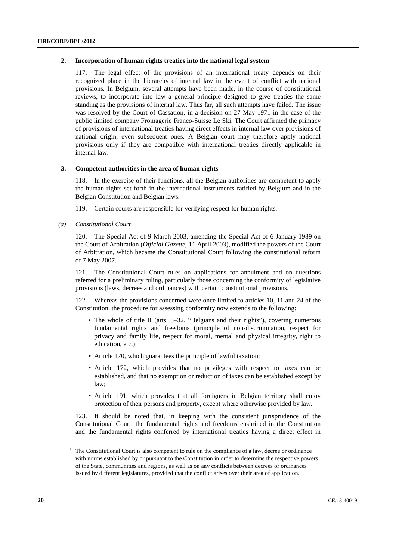## **2. Incorporation of human rights treaties into the national legal system**

117. The legal effect of the provisions of an international treaty depends on their recognized place in the hierarchy of internal law in the event of conflict with national provisions. In Belgium, several attempts have been made, in the course of constitutional reviews, to incorporate into law a general principle designed to give treaties the same standing as the provisions of internal law. Thus far, all such attempts have failed. The issue was resolved by the Court of Cassation, in a decision on 27 May 1971 in the case of the public limited company Fromagerie Franco-Suisse Le Ski. The Court affirmed the primacy of provisions of international treaties having direct effects in internal law over provisions of national origin, even subsequent ones. A Belgian court may therefore apply national provisions only if they are compatible with international treaties directly applicable in internal law.

## **3. Competent authorities in the area of human rights**

118. In the exercise of their functions, all the Belgian authorities are competent to apply the human rights set forth in the international instruments ratified by Belgium and in the Belgian Constitution and Belgian laws.

119. Certain courts are responsible for verifying respect for human rights.

 *(a) Constitutional Court* 

120. The Special Act of 9 March 2003, amending the Special Act of 6 January 1989 on the Court of Arbitration (*Official Gazette*, 11 April 2003), modified the powers of the Court of Arbitration, which became the Constitutional Court following the constitutional reform of 7 May 2007.

121. The Constitutional Court rules on applications for annulment and on questions referred for a preliminary ruling, particularly those concerning the conformity of legislative provisions (laws, decrees and ordinances) with certain constitutional provisions.<sup>1</sup>

122. Whereas the provisions concerned were once limited to articles 10, 11 and 24 of the Constitution, the procedure for assessing conformity now extends to the following:

- The whole of title II (arts. 8–32, "Belgians and their rights"), covering numerous fundamental rights and freedoms (principle of non-discrimination, respect for privacy and family life, respect for moral, mental and physical integrity, right to education, etc.);
- Article 170, which guarantees the principle of lawful taxation;
- Article 172, which provides that no privileges with respect to taxes can be established, and that no exemption or reduction of taxes can be established except by law;
- Article 191, which provides that all foreigners in Belgian territory shall enjoy protection of their persons and property, except where otherwise provided by law.

123. It should be noted that, in keeping with the consistent jurisprudence of the Constitutional Court, the fundamental rights and freedoms enshrined in the Constitution and the fundamental rights conferred by international treaties having a direct effect in

 $<sup>1</sup>$  The Constitutional Court is also competent to rule on the compliance of a law, decree or ordinance</sup> with norms established by or pursuant to the Constitution in order to determine the respective powers of the State, communities and regions, as well as on any conflicts between decrees or ordinances issued by different legislatures, provided that the conflict arises over their area of application.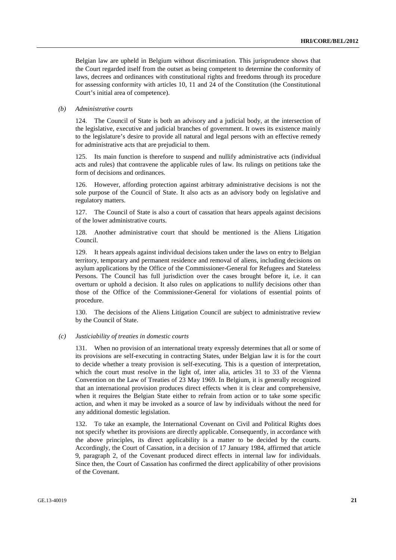Belgian law are upheld in Belgium without discrimination. This jurisprudence shows that the Court regarded itself from the outset as being competent to determine the conformity of laws, decrees and ordinances with constitutional rights and freedoms through its procedure for assessing conformity with articles 10, 11 and 24 of the Constitution (the Constitutional Court's initial area of competence).

#### *(b) Administrative courts*

124. The Council of State is both an advisory and a judicial body, at the intersection of the legislative, executive and judicial branches of government. It owes its existence mainly to the legislature's desire to provide all natural and legal persons with an effective remedy for administrative acts that are prejudicial to them.

125. Its main function is therefore to suspend and nullify administrative acts (individual acts and rules) that contravene the applicable rules of law. Its rulings on petitions take the form of decisions and ordinances.

126. However, affording protection against arbitrary administrative decisions is not the sole purpose of the Council of State. It also acts as an advisory body on legislative and regulatory matters.

127. The Council of State is also a court of cassation that hears appeals against decisions of the lower administrative courts.

128. Another administrative court that should be mentioned is the Aliens Litigation Council.

129. It hears appeals against individual decisions taken under the laws on entry to Belgian territory, temporary and permanent residence and removal of aliens, including decisions on asylum applications by the Office of the Commissioner-General for Refugees and Stateless Persons. The Council has full jurisdiction over the cases brought before it, i.e. it can overturn or uphold a decision. It also rules on applications to nullify decisions other than those of the Office of the Commissioner-General for violations of essential points of procedure.

130. The decisions of the Aliens Litigation Council are subject to administrative review by the Council of State.

#### *(c) Justiciability of treaties in domestic courts*

131. When no provision of an international treaty expressly determines that all or some of its provisions are self-executing in contracting States, under Belgian law it is for the court to decide whether a treaty provision is self-executing. This is a question of interpretation, which the court must resolve in the light of, inter alia, articles 31 to 33 of the Vienna Convention on the Law of Treaties of 23 May 1969. In Belgium, it is generally recognized that an international provision produces direct effects when it is clear and comprehensive, when it requires the Belgian State either to refrain from action or to take some specific action, and when it may be invoked as a source of law by individuals without the need for any additional domestic legislation.

132. To take an example, the International Covenant on Civil and Political Rights does not specify whether its provisions are directly applicable. Consequently, in accordance with the above principles, its direct applicability is a matter to be decided by the courts. Accordingly, the Court of Cassation, in a decision of 17 January 1984, affirmed that article 9, paragraph 2, of the Covenant produced direct effects in internal law for individuals. Since then, the Court of Cassation has confirmed the direct applicability of other provisions of the Covenant.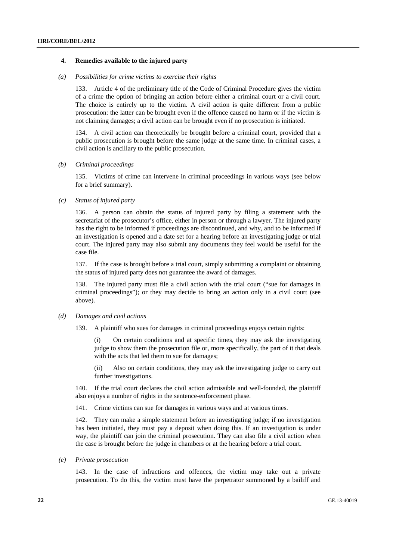#### **4. Remedies available to the injured party**

#### *(a) Possibilities for crime victims to exercise their rights*

133. Article 4 of the preliminary title of the Code of Criminal Procedure gives the victim of a crime the option of bringing an action before either a criminal court or a civil court. The choice is entirely up to the victim. A civil action is quite different from a public prosecution: the latter can be brought even if the offence caused no harm or if the victim is not claiming damages; a civil action can be brought even if no prosecution is initiated.

134. A civil action can theoretically be brought before a criminal court, provided that a public prosecution is brought before the same judge at the same time. In criminal cases, a civil action is ancillary to the public prosecution.

#### *(b) Criminal proceedings*

135. Victims of crime can intervene in criminal proceedings in various ways (see below for a brief summary).

## *(c) Status of injured party*

136. A person can obtain the status of injured party by filing a statement with the secretariat of the prosecutor's office, either in person or through a lawyer. The injured party has the right to be informed if proceedings are discontinued, and why, and to be informed if an investigation is opened and a date set for a hearing before an investigating judge or trial court. The injured party may also submit any documents they feel would be useful for the case file.

137. If the case is brought before a trial court, simply submitting a complaint or obtaining the status of injured party does not guarantee the award of damages.

138. The injured party must file a civil action with the trial court ("sue for damages in criminal proceedings"); or they may decide to bring an action only in a civil court (see above).

### *(d) Damages and civil actions*

139. A plaintiff who sues for damages in criminal proceedings enjoys certain rights:

(i) On certain conditions and at specific times, they may ask the investigating judge to show them the prosecution file or, more specifically, the part of it that deals with the acts that led them to sue for damages;

(ii) Also on certain conditions, they may ask the investigating judge to carry out further investigations.

140. If the trial court declares the civil action admissible and well-founded, the plaintiff also enjoys a number of rights in the sentence-enforcement phase.

141. Crime victims can sue for damages in various ways and at various times.

142. They can make a simple statement before an investigating judge; if no investigation has been initiated, they must pay a deposit when doing this. If an investigation is under way, the plaintiff can join the criminal prosecution. They can also file a civil action when the case is brought before the judge in chambers or at the hearing before a trial court.

### *(e) Private prosecution*

143. In the case of infractions and offences, the victim may take out a private prosecution. To do this, the victim must have the perpetrator summoned by a bailiff and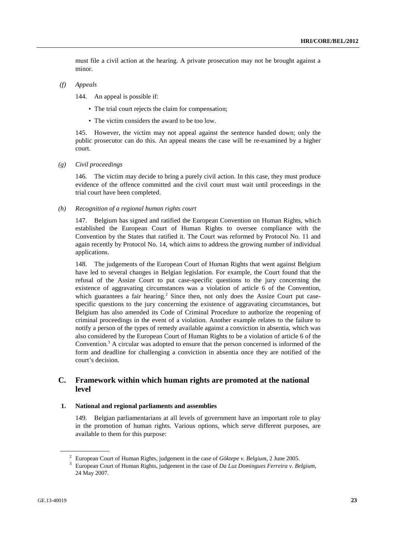must file a civil action at the hearing. A private prosecution may not be brought against a minor.

 *(f) Appeals* 

144. An appeal is possible if:

- The trial court rejects the claim for compensation:
- The victim considers the award to be too low.

145. However, the victim may not appeal against the sentence handed down; only the public prosecutor can do this. An appeal means the case will be re-examined by a higher court.

 *(g) Civil proceedings* 

146. The victim may decide to bring a purely civil action. In this case, they must produce evidence of the offence committed and the civil court must wait until proceedings in the trial court have been completed.

 *(h) Recognition of a regional human rights court* 

147. Belgium has signed and ratified the European Convention on Human Rights, which established the European Court of Human Rights to oversee compliance with the Convention by the States that ratified it. The Court was reformed by Protocol No. 11 and again recently by Protocol No. 14, which aims to address the growing number of individual applications.

148. The judgements of the European Court of Human Rights that went against Belgium have led to several changes in Belgian legislation. For example, the Court found that the refusal of the Assize Court to put case-specific questions to the jury concerning the existence of aggravating circumstances was a violation of article 6 of the Convention, which guarantees a fair hearing.<sup>2</sup> Since then, not only does the Assize Court put casespecific questions to the jury concerning the existence of aggravating circumstances, but Belgium has also amended its Code of Criminal Procedure to authorize the reopening of criminal proceedings in the event of a violation. Another example relates to the failure to notify a person of the types of remedy available against a conviction in absentia, which was also considered by the European Court of Human Rights to be a violation of article 6 of the Convention.<sup>3</sup> A circular was adopted to ensure that the person concerned is informed of the form and deadline for challenging a conviction in absentia once they are notified of the court's decision.

## **C. Framework within which human rights are promoted at the national level**

#### **1. National and regional parliaments and assemblies**

149. Belgian parliamentarians at all levels of government have an important role to play in the promotion of human rights. Various options, which serve different purposes, are available to them for this purpose:

<sup>&</sup>lt;sup>2</sup> European Court of Human Rights, judgement in the case of *Göktepe v. Belgium*, 2 June 2005.

European Court of Human Rights, judgement in the case of *Da Luz Domingues Ferreira v. Belgium*, 24 May 2007.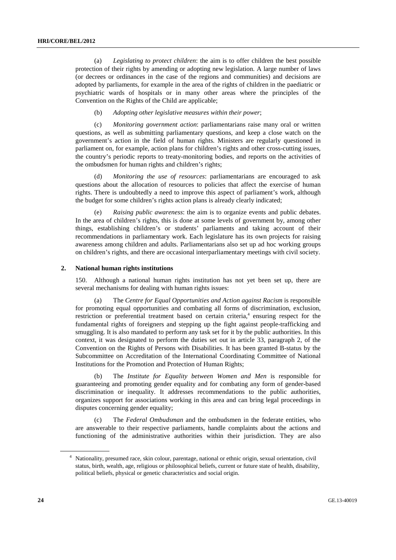(a) *Legislating to protect children*: the aim is to offer children the best possible protection of their rights by amending or adopting new legislation. A large number of laws (or decrees or ordinances in the case of the regions and communities) and decisions are adopted by parliaments, for example in the area of the rights of children in the paediatric or psychiatric wards of hospitals or in many other areas where the principles of the Convention on the Rights of the Child are applicable;

(b) *Adopting other legislative measures within their power*;

(c) *Monitoring government action*: parliamentarians raise many oral or written questions, as well as submitting parliamentary questions, and keep a close watch on the government's action in the field of human rights. Ministers are regularly questioned in parliament on, for example, action plans for children's rights and other cross-cutting issues, the country's periodic reports to treaty-monitoring bodies, and reports on the activities of the ombudsmen for human rights and children's rights;

(d) *Monitoring the use of resources*: parliamentarians are encouraged to ask questions about the allocation of resources to policies that affect the exercise of human rights. There is undoubtedly a need to improve this aspect of parliament's work, although the budget for some children's rights action plans is already clearly indicated;

(e) *Raising public awareness*: the aim is to organize events and public debates. In the area of children's rights, this is done at some levels of government by, among other things, establishing children's or students' parliaments and taking account of their recommendations in parliamentary work. Each legislature has its own projects for raising awareness among children and adults. Parliamentarians also set up ad hoc working groups on children's rights, and there are occasional interparliamentary meetings with civil society.

#### **2. National human rights institutions**

150. Although a national human rights institution has not yet been set up, there are several mechanisms for dealing with human rights issues:

(a) The *Centre for Equal Opportunities and Action against Racism* is responsible for promoting equal opportunities and combating all forms of discrimination, exclusion, restriction or preferential treatment based on certain criteria,<sup>4</sup> ensuring respect for the fundamental rights of foreigners and stepping up the fight against people-trafficking and smuggling. It is also mandated to perform any task set for it by the public authorities. In this context, it was designated to perform the duties set out in article 33, paragraph 2, of the Convention on the Rights of Persons with Disabilities. It has been granted B-status by the Subcommittee on Accreditation of the International Coordinating Committee of National Institutions for the Promotion and Protection of Human Rights;

(b) The *Institute for Equality between Women and Men* is responsible for guaranteeing and promoting gender equality and for combating any form of gender-based discrimination or inequality. It addresses recommendations to the public authorities, organizes support for associations working in this area and can bring legal proceedings in disputes concerning gender equality;

(c) The *Federal Ombudsman* and the ombudsmen in the federate entities, who are answerable to their respective parliaments, handle complaints about the actions and functioning of the administrative authorities within their jurisdiction. They are also

<sup>4</sup> Nationality, presumed race, skin colour, parentage, national or ethnic origin, sexual orientation, civil status, birth, wealth, age, religious or philosophical beliefs, current or future state of health, disability, political beliefs, physical or genetic characteristics and social origin.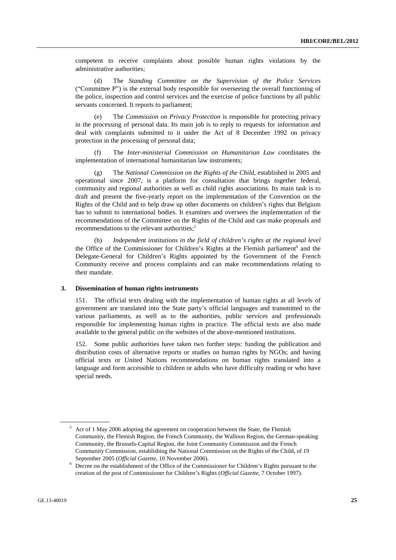competent to receive complaints about possible human rights violations by the administrative authorities;

(d) The *Standing Committee on the Supervision of the Police Services* ("Committee P") is the external body responsible for overseeing the overall functioning of the police, inspection and control services and the exercise of police functions by all public servants concerned. It reports to parliament;

(e) The *Commission on Privacy Protection* is responsible for protecting privacy in the processing of personal data. Its main job is to reply to requests for information and deal with complaints submitted to it under the Act of 8 December 1992 on privacy protection in the processing of personal data;

(f) The *Inter-ministerial Commission on Humanitarian Law* coordinates the implementation of international humanitarian law instruments;

(g) The *National Commission on the Rights of the Child*, established in 2005 and operational since 2007, is a platform for consultation that brings together federal, community and regional authorities as well as child rights associations. Its main task is to draft and present the five-yearly report on the implementation of the Convention on the Rights of the Child and to help draw up other documents on children's rights that Belgium has to submit to international bodies. It examines and oversees the implementation of the recommendations of the Committee on the Rights of the Child and can make proposals and recommendations to the relevant authorities;<sup>5</sup>

(h) *Independent institutions in the field of children's rights at the regional level* the Office of the Commissioner for Children's Rights at the Flemish parliament<sup>6</sup> and the Delegate-General for Children's Rights appointed by the Government of the French Community receive and process complaints and can make recommendations relating to their mandate.

## **3. Dissemination of human rights instruments**

151. The official texts dealing with the implementation of human rights at all levels of government are translated into the State party's official languages and transmitted to the various parliaments, as well as to the authorities, public services and professionals responsible for implementing human rights in practice. The official texts are also made available to the general public on the websites of the above-mentioned institutions.

152. Some public authorities have taken two further steps: funding the publication and distribution costs of alternative reports or studies on human rights by NGOs; and having official texts or United Nations recommendations on human rights translated into a language and form accessible to children or adults who have difficulty reading or who have special needs.

<sup>&</sup>lt;sup>5</sup> Act of 1 May 2006 adopting the agreement on cooperation between the State, the Flemish Community, the Flemish Region, the French Community, the Walloon Region, the German-speaking Community, the Brussels-Capital Region, the Joint Community Commission and the French Community Commission, establishing the National Commission on the Rights of the Child, of 19 September 2005 (*Official Gazette*, 10 November 2006). 6

Decree on the establishment of the Office of the Commissioner for Children's Rights pursuant to the creation of the post of Commissioner for Children's Rights (*Official Gazette*, 7 October 1997).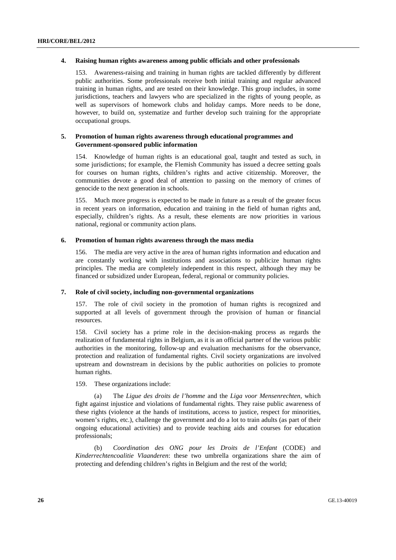## **4. Raising human rights awareness among public officials and other professionals**

153. Awareness-raising and training in human rights are tackled differently by different public authorities. Some professionals receive both initial training and regular advanced training in human rights, and are tested on their knowledge. This group includes, in some jurisdictions, teachers and lawyers who are specialized in the rights of young people, as well as supervisors of homework clubs and holiday camps. More needs to be done, however, to build on, systematize and further develop such training for the appropriate occupational groups.

## **5. Promotion of human rights awareness through educational programmes and Government-sponsored public information**

154. Knowledge of human rights is an educational goal, taught and tested as such, in some jurisdictions; for example, the Flemish Community has issued a decree setting goals for courses on human rights, children's rights and active citizenship. Moreover, the communities devote a good deal of attention to passing on the memory of crimes of genocide to the next generation in schools.

155. Much more progress is expected to be made in future as a result of the greater focus in recent years on information, education and training in the field of human rights and, especially, children's rights. As a result, these elements are now priorities in various national, regional or community action plans.

## **6. Promotion of human rights awareness through the mass media**

156. The media are very active in the area of human rights information and education and are constantly working with institutions and associations to publicize human rights principles. The media are completely independent in this respect, although they may be financed or subsidized under European, federal, regional or community policies.

### **7. Role of civil society, including non-governmental organizations**

157. The role of civil society in the promotion of human rights is recognized and supported at all levels of government through the provision of human or financial resources.

158. Civil society has a prime role in the decision-making process as regards the realization of fundamental rights in Belgium, as it is an official partner of the various public authorities in the monitoring, follow-up and evaluation mechanisms for the observance, protection and realization of fundamental rights. Civil society organizations are involved upstream and downstream in decisions by the public authorities on policies to promote human rights.

### 159. These organizations include:

(a) The *Ligue des droits de l'homme* and the *Liga voor Mensenrechten*, which fight against injustice and violations of fundamental rights. They raise public awareness of these rights (violence at the hands of institutions, access to justice, respect for minorities, women's rights, etc.), challenge the government and do a lot to train adults (as part of their ongoing educational activities) and to provide teaching aids and courses for education professionals;

(b) *Coordination des ONG pour les Droits de l'Enfant* (CODE) and *Kinderrechtencoalitie Vlaanderen*: these two umbrella organizations share the aim of protecting and defending children's rights in Belgium and the rest of the world;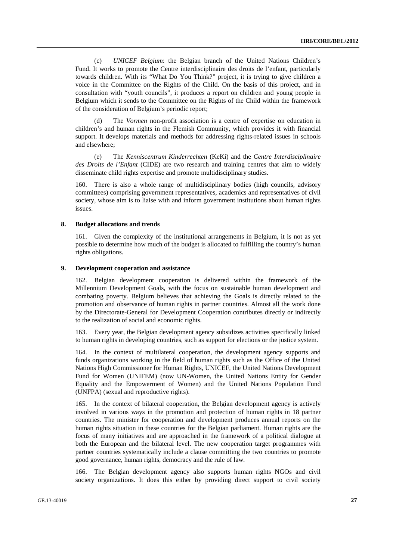(c) *UNICEF Belgium*: the Belgian branch of the United Nations Children's Fund. It works to promote the Centre interdisciplinaire des droits de l'enfant, particularly towards children. With its "What Do You Think?" project, it is trying to give children a voice in the Committee on the Rights of the Child. On the basis of this project, and in consultation with "youth councils", it produces a report on children and young people in Belgium which it sends to the Committee on the Rights of the Child within the framework of the consideration of Belgium's periodic report;

(d) The *Vormen* non-profit association is a centre of expertise on education in children's and human rights in the Flemish Community, which provides it with financial support. It develops materials and methods for addressing rights-related issues in schools and elsewhere;

(e) The *Kenniscentrum Kinderrechten* (KeKi) and the *Centre Interdisciplinaire des Droits de l'Enfant* (CIDE) are two research and training centres that aim to widely disseminate child rights expertise and promote multidisciplinary studies.

160. There is also a whole range of multidisciplinary bodies (high councils, advisory committees) comprising government representatives, academics and representatives of civil society, whose aim is to liaise with and inform government institutions about human rights issues.

#### **8. Budget allocations and trends**

161. Given the complexity of the institutional arrangements in Belgium, it is not as yet possible to determine how much of the budget is allocated to fulfilling the country's human rights obligations.

#### **9. Development cooperation and assistance**

162. Belgian development cooperation is delivered within the framework of the Millennium Development Goals, with the focus on sustainable human development and combating poverty. Belgium believes that achieving the Goals is directly related to the promotion and observance of human rights in partner countries. Almost all the work done by the Directorate-General for Development Cooperation contributes directly or indirectly to the realization of social and economic rights.

163. Every year, the Belgian development agency subsidizes activities specifically linked to human rights in developing countries, such as support for elections or the justice system.

164. In the context of multilateral cooperation, the development agency supports and funds organizations working in the field of human rights such as the Office of the United Nations High Commissioner for Human Rights, UNICEF, the United Nations Development Fund for Women (UNIFEM) (now UN-Women, the United Nations Entity for Gender Equality and the Empowerment of Women) and the United Nations Population Fund (UNFPA) (sexual and reproductive rights).

165. In the context of bilateral cooperation, the Belgian development agency is actively involved in various ways in the promotion and protection of human rights in 18 partner countries. The minister for cooperation and development produces annual reports on the human rights situation in these countries for the Belgian parliament. Human rights are the focus of many initiatives and are approached in the framework of a political dialogue at both the European and the bilateral level. The new cooperation target programmes with partner countries systematically include a clause committing the two countries to promote good governance, human rights, democracy and the rule of law.

166. The Belgian development agency also supports human rights NGOs and civil society organizations. It does this either by providing direct support to civil society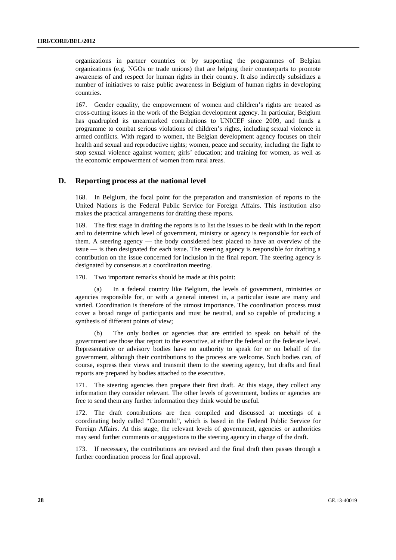organizations in partner countries or by supporting the programmes of Belgian organizations (e.g. NGOs or trade unions) that are helping their counterparts to promote awareness of and respect for human rights in their country. It also indirectly subsidizes a number of initiatives to raise public awareness in Belgium of human rights in developing countries.

167. Gender equality, the empowerment of women and children's rights are treated as cross-cutting issues in the work of the Belgian development agency. In particular, Belgium has quadrupled its unearmarked contributions to UNICEF since 2009, and funds a programme to combat serious violations of children's rights, including sexual violence in armed conflicts. With regard to women, the Belgian development agency focuses on their health and sexual and reproductive rights; women, peace and security, including the fight to stop sexual violence against women; girls' education; and training for women, as well as the economic empowerment of women from rural areas.

## **D. Reporting process at the national level**

168. In Belgium, the focal point for the preparation and transmission of reports to the United Nations is the Federal Public Service for Foreign Affairs. This institution also makes the practical arrangements for drafting these reports.

169. The first stage in drafting the reports is to list the issues to be dealt with in the report and to determine which level of government, ministry or agency is responsible for each of them. A steering agency — the body considered best placed to have an overview of the issue — is then designated for each issue. The steering agency is responsible for drafting a contribution on the issue concerned for inclusion in the final report. The steering agency is designated by consensus at a coordination meeting.

170. Two important remarks should be made at this point:

(a) In a federal country like Belgium, the levels of government, ministries or agencies responsible for, or with a general interest in, a particular issue are many and varied. Coordination is therefore of the utmost importance. The coordination process must cover a broad range of participants and must be neutral, and so capable of producing a synthesis of different points of view;

(b) The only bodies or agencies that are entitled to speak on behalf of the government are those that report to the executive, at either the federal or the federate level. Representative or advisory bodies have no authority to speak for or on behalf of the government, although their contributions to the process are welcome. Such bodies can, of course, express their views and transmit them to the steering agency, but drafts and final reports are prepared by bodies attached to the executive.

171. The steering agencies then prepare their first draft. At this stage, they collect any information they consider relevant. The other levels of government, bodies or agencies are free to send them any further information they think would be useful.

172. The draft contributions are then compiled and discussed at meetings of a coordinating body called "Coormulti", which is based in the Federal Public Service for Foreign Affairs. At this stage, the relevant levels of government, agencies or authorities may send further comments or suggestions to the steering agency in charge of the draft.

173. If necessary, the contributions are revised and the final draft then passes through a further coordination process for final approval.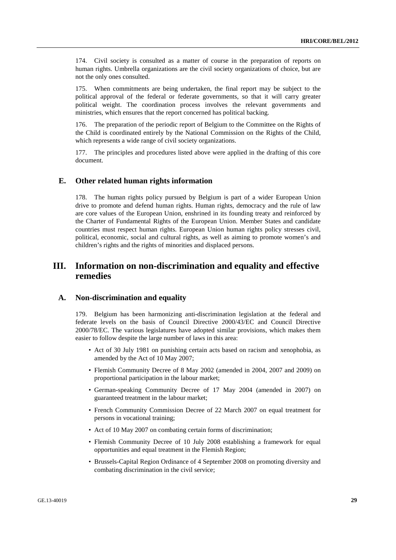174. Civil society is consulted as a matter of course in the preparation of reports on human rights. Umbrella organizations are the civil society organizations of choice, but are not the only ones consulted.

175. When commitments are being undertaken, the final report may be subject to the political approval of the federal or federate governments, so that it will carry greater political weight. The coordination process involves the relevant governments and ministries, which ensures that the report concerned has political backing.

176. The preparation of the periodic report of Belgium to the Committee on the Rights of the Child is coordinated entirely by the National Commission on the Rights of the Child, which represents a wide range of civil society organizations.

177. The principles and procedures listed above were applied in the drafting of this core document.

## **E. Other related human rights information**

178. The human rights policy pursued by Belgium is part of a wider European Union drive to promote and defend human rights. Human rights, democracy and the rule of law are core values of the European Union, enshrined in its founding treaty and reinforced by the Charter of Fundamental Rights of the European Union. Member States and candidate countries must respect human rights. European Union human rights policy stresses civil, political, economic, social and cultural rights, as well as aiming to promote women's and children's rights and the rights of minorities and displaced persons.

## **III. Information on non-discrimination and equality and effective remedies**

## **A. Non-discrimination and equality**

179. Belgium has been harmonizing anti-discrimination legislation at the federal and federate levels on the basis of Council Directive 2000/43/EC and Council Directive 2000/78/EC. The various legislatures have adopted similar provisions, which makes them easier to follow despite the large number of laws in this area:

- Act of 30 July 1981 on punishing certain acts based on racism and xenophobia, as amended by the Act of 10 May 2007;
- Flemish Community Decree of 8 May 2002 (amended in 2004, 2007 and 2009) on proportional participation in the labour market;
- German-speaking Community Decree of 17 May 2004 (amended in 2007) on guaranteed treatment in the labour market;
- French Community Commission Decree of 22 March 2007 on equal treatment for persons in vocational training;
- Act of 10 May 2007 on combating certain forms of discrimination;
- Flemish Community Decree of 10 July 2008 establishing a framework for equal opportunities and equal treatment in the Flemish Region;
- Brussels-Capital Region Ordinance of 4 September 2008 on promoting diversity and combating discrimination in the civil service;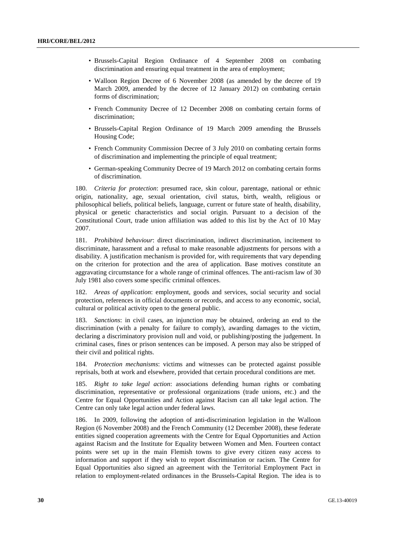- Brussels-Capital Region Ordinance of 4 September 2008 on combating discrimination and ensuring equal treatment in the area of employment;
- Walloon Region Decree of 6 November 2008 (as amended by the decree of 19 March 2009, amended by the decree of 12 January 2012) on combating certain forms of discrimination;
- French Community Decree of 12 December 2008 on combating certain forms of discrimination;
- Brussels-Capital Region Ordinance of 19 March 2009 amending the Brussels Housing Code;
- French Community Commission Decree of 3 July 2010 on combating certain forms of discrimination and implementing the principle of equal treatment;
- German-speaking Community Decree of 19 March 2012 on combating certain forms of discrimination.

180. *Criteria for protection*: presumed race, skin colour, parentage, national or ethnic origin, nationality, age, sexual orientation, civil status, birth, wealth, religious or philosophical beliefs, political beliefs, language, current or future state of health, disability, physical or genetic characteristics and social origin. Pursuant to a decision of the Constitutional Court, trade union affiliation was added to this list by the Act of 10 May 2007.

181. *Prohibited behaviour*: direct discrimination, indirect discrimination, incitement to discriminate, harassment and a refusal to make reasonable adjustments for persons with a disability. A justification mechanism is provided for, with requirements that vary depending on the criterion for protection and the area of application. Base motives constitute an aggravating circumstance for a whole range of criminal offences. The anti-racism law of 30 July 1981 also covers some specific criminal offences.

182. *Areas of application*: employment, goods and services, social security and social protection, references in official documents or records, and access to any economic, social, cultural or political activity open to the general public.

183. *Sanctions*: in civil cases, an injunction may be obtained, ordering an end to the discrimination (with a penalty for failure to comply), awarding damages to the victim, declaring a discriminatory provision null and void, or publishing/posting the judgement. In criminal cases, fines or prison sentences can be imposed. A person may also be stripped of their civil and political rights.

184. *Protection mechanisms*: victims and witnesses can be protected against possible reprisals, both at work and elsewhere, provided that certain procedural conditions are met.

185. *Right to take legal action*: associations defending human rights or combating discrimination, representative or professional organizations (trade unions, etc.) and the Centre for Equal Opportunities and Action against Racism can all take legal action. The Centre can only take legal action under federal laws.

186. In 2009, following the adoption of anti-discrimination legislation in the Walloon Region (6 November 2008) and the French Community (12 December 2008), these federate entities signed cooperation agreements with the Centre for Equal Opportunities and Action against Racism and the Institute for Equality between Women and Men. Fourteen contact points were set up in the main Flemish towns to give every citizen easy access to information and support if they wish to report discrimination or racism. The Centre for Equal Opportunities also signed an agreement with the Territorial Employment Pact in relation to employment-related ordinances in the Brussels-Capital Region. The idea is to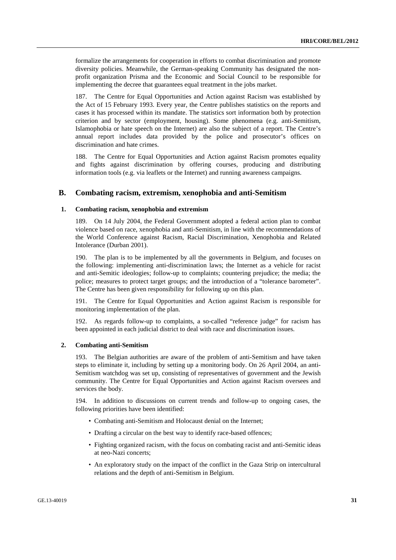formalize the arrangements for cooperation in efforts to combat discrimination and promote diversity policies. Meanwhile, the German-speaking Community has designated the nonprofit organization Prisma and the Economic and Social Council to be responsible for implementing the decree that guarantees equal treatment in the jobs market.

187. The Centre for Equal Opportunities and Action against Racism was established by the Act of 15 February 1993. Every year, the Centre publishes statistics on the reports and cases it has processed within its mandate. The statistics sort information both by protection criterion and by sector (employment, housing). Some phenomena (e.g. anti-Semitism, Islamophobia or hate speech on the Internet) are also the subject of a report. The Centre's annual report includes data provided by the police and prosecutor's offices on discrimination and hate crimes.

188. The Centre for Equal Opportunities and Action against Racism promotes equality and fights against discrimination by offering courses, producing and distributing information tools (e.g. via leaflets or the Internet) and running awareness campaigns.

## **B. Combating racism, extremism, xenophobia and anti-Semitism**

## **1. Combating racism, xenophobia and extremism**

189. On 14 July 2004, the Federal Government adopted a federal action plan to combat violence based on race, xenophobia and anti-Semitism, in line with the recommendations of the World Conference against Racism, Racial Discrimination, Xenophobia and Related Intolerance (Durban 2001).

190. The plan is to be implemented by all the governments in Belgium, and focuses on the following: implementing anti-discrimination laws; the Internet as a vehicle for racist and anti-Semitic ideologies; follow-up to complaints; countering prejudice; the media; the police; measures to protect target groups; and the introduction of a "tolerance barometer". The Centre has been given responsibility for following up on this plan.

191. The Centre for Equal Opportunities and Action against Racism is responsible for monitoring implementation of the plan.

192. As regards follow-up to complaints, a so-called "reference judge" for racism has been appointed in each judicial district to deal with race and discrimination issues.

#### **2. Combating anti-Semitism**

193. The Belgian authorities are aware of the problem of anti-Semitism and have taken steps to eliminate it, including by setting up a monitoring body. On 26 April 2004, an anti-Semitism watchdog was set up, consisting of representatives of government and the Jewish community. The Centre for Equal Opportunities and Action against Racism oversees and services the body.

194. In addition to discussions on current trends and follow-up to ongoing cases, the following priorities have been identified:

- Combating anti-Semitism and Holocaust denial on the Internet;
- Drafting a circular on the best way to identify race-based offences;
- Fighting organized racism, with the focus on combating racist and anti-Semitic ideas at neo-Nazi concerts;
- An exploratory study on the impact of the conflict in the Gaza Strip on intercultural relations and the depth of anti-Semitism in Belgium.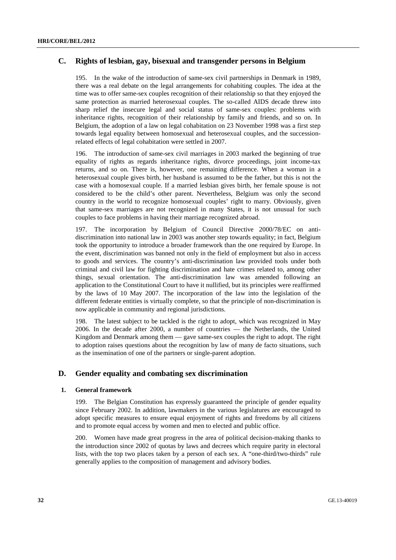## **C. Rights of lesbian, gay, bisexual and transgender persons in Belgium**

195. In the wake of the introduction of same-sex civil partnerships in Denmark in 1989, there was a real debate on the legal arrangements for cohabiting couples. The idea at the time was to offer same-sex couples recognition of their relationship so that they enjoyed the same protection as married heterosexual couples. The so-called AIDS decade threw into sharp relief the insecure legal and social status of same-sex couples: problems with inheritance rights, recognition of their relationship by family and friends, and so on. In Belgium, the adoption of a law on legal cohabitation on 23 November 1998 was a first step towards legal equality between homosexual and heterosexual couples, and the successionrelated effects of legal cohabitation were settled in 2007.

196. The introduction of same-sex civil marriages in 2003 marked the beginning of true equality of rights as regards inheritance rights, divorce proceedings, joint income-tax returns, and so on. There is, however, one remaining difference. When a woman in a heterosexual couple gives birth, her husband is assumed to be the father, but this is not the case with a homosexual couple. If a married lesbian gives birth, her female spouse is not considered to be the child's other parent. Nevertheless, Belgium was only the second country in the world to recognize homosexual couples' right to marry. Obviously, given that same-sex marriages are not recognized in many States, it is not unusual for such couples to face problems in having their marriage recognized abroad.

197. The incorporation by Belgium of Council Directive 2000/78/EC on antidiscrimination into national law in 2003 was another step towards equality; in fact, Belgium took the opportunity to introduce a broader framework than the one required by Europe. In the event, discrimination was banned not only in the field of employment but also in access to goods and services. The country's anti-discrimination law provided tools under both criminal and civil law for fighting discrimination and hate crimes related to, among other things, sexual orientation. The anti-discrimination law was amended following an application to the Constitutional Court to have it nullified, but its principles were reaffirmed by the laws of 10 May 2007. The incorporation of the law into the legislation of the different federate entities is virtually complete, so that the principle of non-discrimination is now applicable in community and regional jurisdictions.

198. The latest subject to be tackled is the right to adopt, which was recognized in May 2006. In the decade after 2000, a number of countries — the Netherlands, the United Kingdom and Denmark among them — gave same-sex couples the right to adopt. The right to adoption raises questions about the recognition by law of many de facto situations, such as the insemination of one of the partners or single-parent adoption.

## **D. Gender equality and combating sex discrimination**

## **1. General framework**

199. The Belgian Constitution has expressly guaranteed the principle of gender equality since February 2002. In addition, lawmakers in the various legislatures are encouraged to adopt specific measures to ensure equal enjoyment of rights and freedoms by all citizens and to promote equal access by women and men to elected and public office.

200. Women have made great progress in the area of political decision-making thanks to the introduction since 2002 of quotas by laws and decrees which require parity in electoral lists, with the top two places taken by a person of each sex. A "one-third/two-thirds" rule generally applies to the composition of management and advisory bodies.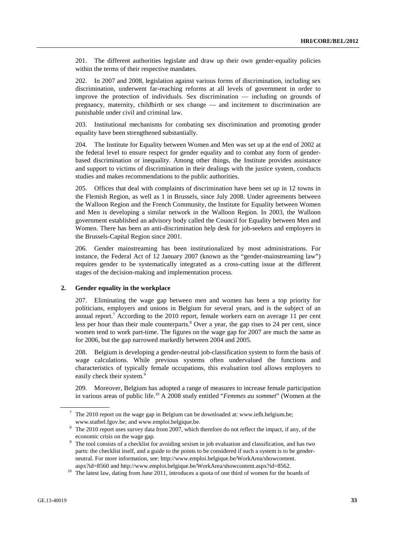201. The different authorities legislate and draw up their own gender-equality policies within the terms of their respective mandates.

202. In 2007 and 2008, legislation against various forms of discrimination, including sex discrimination, underwent far-reaching reforms at all levels of government in order to improve the protection of individuals. Sex discrimination — including on grounds of pregnancy, maternity, childbirth or sex change — and incitement to discrimination are punishable under civil and criminal law.

203. Institutional mechanisms for combating sex discrimination and promoting gender equality have been strengthened substantially.

204. The Institute for Equality between Women and Men was set up at the end of 2002 at the federal level to ensure respect for gender equality and to combat any form of genderbased discrimination or inequality. Among other things, the Institute provides assistance and support to victims of discrimination in their dealings with the justice system, conducts studies and makes recommendations to the public authorities.

205. Offices that deal with complaints of discrimination have been set up in 12 towns in the Flemish Region, as well as 1 in Brussels, since July 2008. Under agreements between the Walloon Region and the French Community, the Institute for Equality between Women and Men is developing a similar network in the Walloon Region. In 2003, the Walloon government established an advisory body called the Council for Equality between Men and Women. There has been an anti-discrimination help desk for job-seekers and employers in the Brussels-Capital Region since 2001.

206. Gender mainstreaming has been institutionalized by most administrations. For instance, the Federal Act of 12 January 2007 (known as the "gender-mainstreaming law") requires gender to be systematically integrated as a cross-cutting issue at the different stages of the decision-making and implementation process.

## **2. Gender equality in the workplace**

207. Eliminating the wage gap between men and women has been a top priority for politicians, employers and unions in Belgium for several years, and is the subject of an annual report.<sup>7</sup> According to the 2010 report, female workers earn on average 11 per cent less per hour than their male counterparts.<sup>8</sup> Over a year, the gap rises to 24 per cent, since women tend to work part-time. The figures on the wage gap for 2007 are much the same as for 2006, but the gap narrowed markedly between 2004 and 2005.

208. Belgium is developing a gender-neutral job-classification system to form the basis of wage calculations. While previous systems often undervalued the functions and characteristics of typically female occupations, this evaluation tool allows employers to easily check their system.<sup>9</sup>

209. Moreover, Belgium has adopted a range of measures to increase female participation in various areas of public life.10 A 2008 study entitled "*Femmes au sommet*" (Women at the

 $7$  The 2010 report on the wage gap in Belgium can be downloaded at: www.iefh.belgium.be;

www.statbel.fgov.be; and www.emploi.belgique.be.<br><sup>8</sup> The 2010 report uses survey data from 2007, which therefore do not reflect the impact, if any, of the economic crisis on the wage gap.<br><sup>9</sup> The tool consists of a checklist for avoiding sexism in job evaluation and classification, and has two

parts: the checklist itself, and a guide to the points to be considered if such a system is to be genderneutral. For more information, see: http://www.emploi.belgique.be/WorkArea/showcontent.

aspx?id=8560 and http://www.emploi.belgique.be/WorkArea/showcontent.aspx?id=8562.<br><sup>10</sup> The latest law, dating from June 2011, introduces a quota of one third of women for the boards of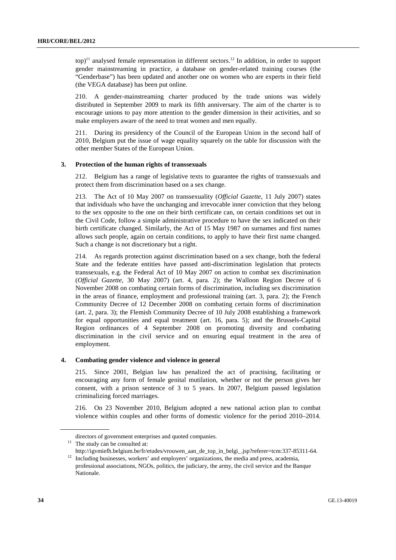$top$ <sup>11</sup> analysed female representation in different sectors.<sup>12</sup> In addition, in order to support gender mainstreaming in practice, a database on gender-related training courses (the "Genderbase") has been updated and another one on women who are experts in their field (the VEGA database) has been put online.

210. A gender-mainstreaming charter produced by the trade unions was widely distributed in September 2009 to mark its fifth anniversary. The aim of the charter is to encourage unions to pay more attention to the gender dimension in their activities, and so make employers aware of the need to treat women and men equally.

211. During its presidency of the Council of the European Union in the second half of 2010, Belgium put the issue of wage equality squarely on the table for discussion with the other member States of the European Union.

## **3. Protection of the human rights of transsexuals**

212. Belgium has a range of legislative texts to guarantee the rights of transsexuals and protect them from discrimination based on a sex change.

213. The Act of 10 May 2007 on transsexuality (*Official Gazette*, 11 July 2007) states that individuals who have the unchanging and irrevocable inner conviction that they belong to the sex opposite to the one on their birth certificate can, on certain conditions set out in the Civil Code, follow a simple administrative procedure to have the sex indicated on their birth certificate changed. Similarly, the Act of 15 May 1987 on surnames and first names allows such people, again on certain conditions, to apply to have their first name changed. Such a change is not discretionary but a right.

214. As regards protection against discrimination based on a sex change, both the federal State and the federate entities have passed anti-discrimination legislation that protects transsexuals, e.g. the Federal Act of 10 May 2007 on action to combat sex discrimination (*Official Gazette*, 30 May 2007) (art. 4, para. 2); the Walloon Region Decree of 6 November 2008 on combating certain forms of discrimination, including sex discrimination in the areas of finance, employment and professional training (art. 3, para. 2); the French Community Decree of 12 December 2008 on combating certain forms of discrimination (art. 2, para. 3); the Flemish Community Decree of 10 July 2008 establishing a framework for equal opportunities and equal treatment (art. 16, para. 5); and the Brussels-Capital Region ordinances of 4 September 2008 on promoting diversity and combating discrimination in the civil service and on ensuring equal treatment in the area of employment.

### **4. Combating gender violence and violence in general**

215. Since 2001, Belgian law has penalized the act of practising, facilitating or encouraging any form of female genital mutilation, whether or not the person gives her consent, with a prison sentence of 3 to 5 years. In 2007, Belgium passed legislation criminalizing forced marriages.

216. On 23 November 2010, Belgium adopted a new national action plan to combat violence within couples and other forms of domestic violence for the period 2010–2014.

Nationale.

directors of government enterprises and quoted companies.<br> $11$  The study can be consulted at:

http://igvmiefh.belgium.be/fr/etudes/vrouwen\_aan\_de\_top\_in\_belgi\_.jsp?referer=tcm:337-85311-64.<br>12 Including businesses, workers' and employers' organizations, the media and press, academia, professional associations, NGOs, politics, the judiciary, the army, the civil service and the Banque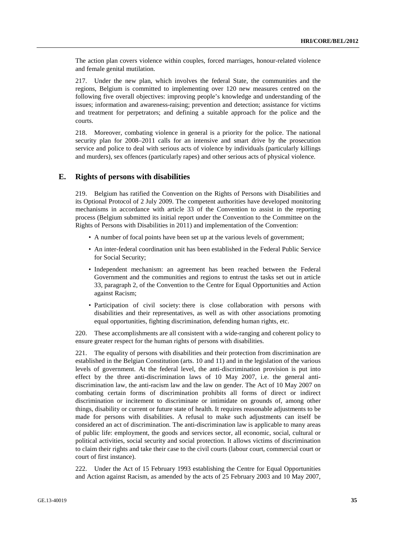The action plan covers violence within couples, forced marriages, honour-related violence and female genital mutilation.

217. Under the new plan, which involves the federal State, the communities and the regions, Belgium is committed to implementing over 120 new measures centred on the following five overall objectives: improving people's knowledge and understanding of the issues; information and awareness-raising; prevention and detection; assistance for victims and treatment for perpetrators; and defining a suitable approach for the police and the courts.

218. Moreover, combating violence in general is a priority for the police. The national security plan for 2008–2011 calls for an intensive and smart drive by the prosecution service and police to deal with serious acts of violence by individuals (particularly killings and murders), sex offences (particularly rapes) and other serious acts of physical violence.

## **E. Rights of persons with disabilities**

219. Belgium has ratified the Convention on the Rights of Persons with Disabilities and its Optional Protocol of 2 July 2009. The competent authorities have developed monitoring mechanisms in accordance with article 33 of the Convention to assist in the reporting process (Belgium submitted its initial report under the Convention to the Committee on the Rights of Persons with Disabilities in 2011) and implementation of the Convention:

- A number of focal points have been set up at the various levels of government;
- An inter-federal coordination unit has been established in the Federal Public Service for Social Security;
- Independent mechanism: an agreement has been reached between the Federal Government and the communities and regions to entrust the tasks set out in article 33, paragraph 2, of the Convention to the Centre for Equal Opportunities and Action against Racism;
- Participation of civil society: there is close collaboration with persons with disabilities and their representatives, as well as with other associations promoting equal opportunities, fighting discrimination, defending human rights, etc.

220. These accomplishments are all consistent with a wide-ranging and coherent policy to ensure greater respect for the human rights of persons with disabilities.

221. The equality of persons with disabilities and their protection from discrimination are established in the Belgian Constitution (arts. 10 and 11) and in the legislation of the various levels of government. At the federal level, the anti-discrimination provision is put into effect by the three anti-discrimination laws of 10 May 2007, i.e. the general antidiscrimination law, the anti-racism law and the law on gender. The Act of 10 May 2007 on combating certain forms of discrimination prohibits all forms of direct or indirect discrimination or incitement to discriminate or intimidate on grounds of, among other things, disability or current or future state of health. It requires reasonable adjustments to be made for persons with disabilities. A refusal to make such adjustments can itself be considered an act of discrimination. The anti-discrimination law is applicable to many areas of public life: employment, the goods and services sector, all economic, social, cultural or political activities, social security and social protection. It allows victims of discrimination to claim their rights and take their case to the civil courts (labour court, commercial court or court of first instance).

222. Under the Act of 15 February 1993 establishing the Centre for Equal Opportunities and Action against Racism, as amended by the acts of 25 February 2003 and 10 May 2007,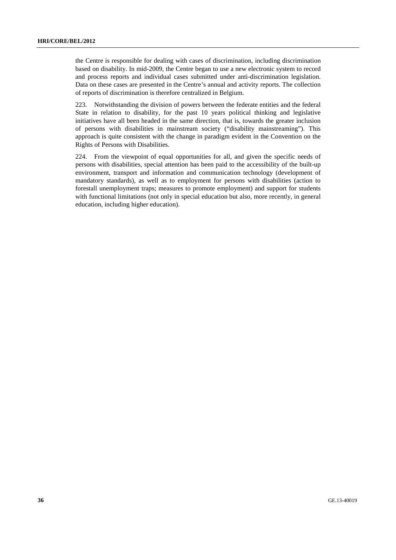the Centre is responsible for dealing with cases of discrimination, including discrimination based on disability. In mid-2009, the Centre began to use a new electronic system to record and process reports and individual cases submitted under anti-discrimination legislation. Data on these cases are presented in the Centre's annual and activity reports. The collection of reports of discrimination is therefore centralized in Belgium.

223. Notwithstanding the division of powers between the federate entities and the federal State in relation to disability, for the past 10 years political thinking and legislative initiatives have all been headed in the same direction, that is, towards the greater inclusion of persons with disabilities in mainstream society ("disability mainstreaming"). This approach is quite consistent with the change in paradigm evident in the Convention on the Rights of Persons with Disabilities.

224. From the viewpoint of equal opportunities for all, and given the specific needs of persons with disabilities, special attention has been paid to the accessibility of the built-up environment, transport and information and communication technology (development of mandatory standards), as well as to employment for persons with disabilities (action to forestall unemployment traps; measures to promote employment) and support for students with functional limitations (not only in special education but also, more recently, in general education, including higher education).